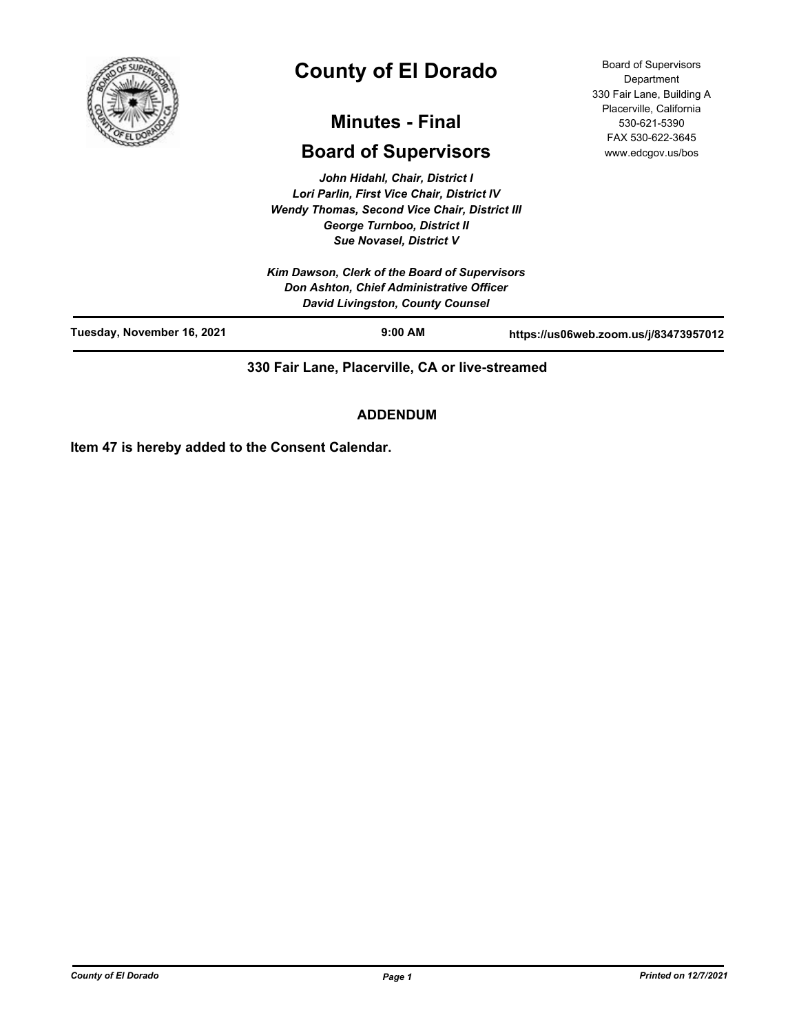

# **County of El Dorado**

# **Minutes - Final**

# **Board of Supervisors**

*John Hidahl, Chair, District I Lori Parlin, First Vice Chair, District IV Wendy Thomas, Second Vice Chair, District III George Turnboo, District II Sue Novasel, District V*

*Kim Dawson, Clerk of the Board of Supervisors Don Ashton, Chief Administrative Officer David Livingston, County Counsel*

Board of Supervisors **Department** 330 Fair Lane, Building A Placerville, California 530-621-5390 FAX 530-622-3645 www.edcgov.us/bos

|                            | <b>David Livingston, County Counsel</b> |                                       |
|----------------------------|-----------------------------------------|---------------------------------------|
| Tuesday, November 16, 2021 | $9:00$ AM                               | https://us06web.zoom.us/j/83473957012 |
|                            |                                         |                                       |

**330 Fair Lane, Placerville, CA or live-streamed**

# **ADDENDUM**

**Item 47 is hereby added to the Consent Calendar.**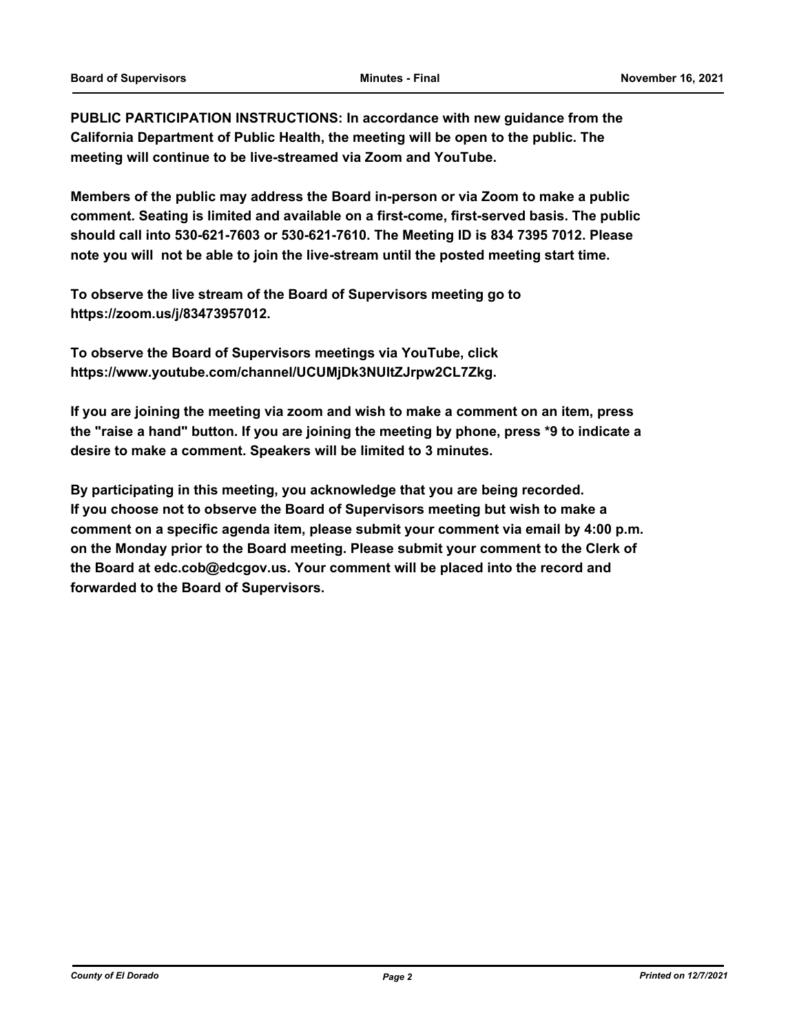**PUBLIC PARTICIPATION INSTRUCTIONS: In accordance with new guidance from the California Department of Public Health, the meeting will be open to the public. The meeting will continue to be live-streamed via Zoom and YouTube.**

**Members of the public may address the Board in-person or via Zoom to make a public comment. Seating is limited and available on a first-come, first-served basis. The public should call into 530-621-7603 or 530-621-7610. The Meeting ID is 834 7395 7012. Please note you will not be able to join the live-stream until the posted meeting start time.**

**To observe the live stream of the Board of Supervisors meeting go to https://zoom.us/j/83473957012.**

**To observe the Board of Supervisors meetings via YouTube, click https://www.youtube.com/channel/UCUMjDk3NUltZJrpw2CL7Zkg.**

**If you are joining the meeting via zoom and wish to make a comment on an item, press the "raise a hand" button. If you are joining the meeting by phone, press \*9 to indicate a desire to make a comment. Speakers will be limited to 3 minutes.**

**By participating in this meeting, you acknowledge that you are being recorded. If you choose not to observe the Board of Supervisors meeting but wish to make a comment on a specific agenda item, please submit your comment via email by 4:00 p.m. on the Monday prior to the Board meeting. Please submit your comment to the Clerk of the Board at edc.cob@edcgov.us. Your comment will be placed into the record and forwarded to the Board of Supervisors.**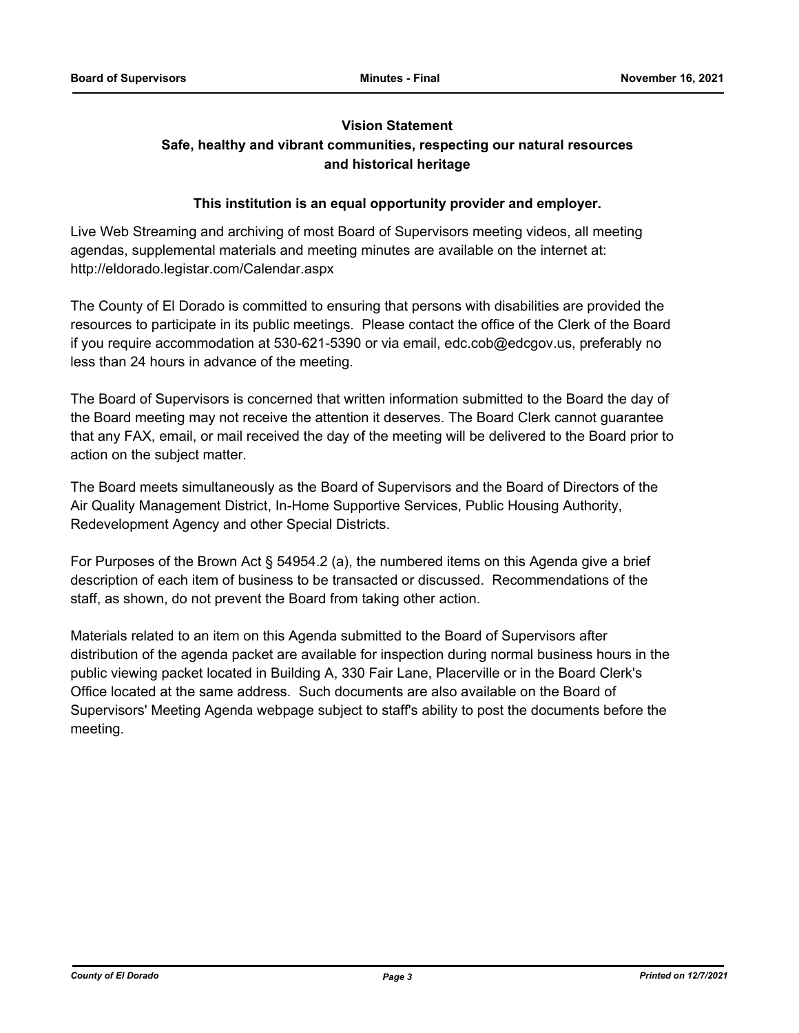# **Vision Statement**

# **Safe, healthy and vibrant communities, respecting our natural resources and historical heritage**

# **This institution is an equal opportunity provider and employer.**

Live Web Streaming and archiving of most Board of Supervisors meeting videos, all meeting agendas, supplemental materials and meeting minutes are available on the internet at: http://eldorado.legistar.com/Calendar.aspx

The County of El Dorado is committed to ensuring that persons with disabilities are provided the resources to participate in its public meetings. Please contact the office of the Clerk of the Board if you require accommodation at 530-621-5390 or via email, edc.cob@edcgov.us, preferably no less than 24 hours in advance of the meeting.

The Board of Supervisors is concerned that written information submitted to the Board the day of the Board meeting may not receive the attention it deserves. The Board Clerk cannot guarantee that any FAX, email, or mail received the day of the meeting will be delivered to the Board prior to action on the subject matter.

The Board meets simultaneously as the Board of Supervisors and the Board of Directors of the Air Quality Management District, In-Home Supportive Services, Public Housing Authority, Redevelopment Agency and other Special Districts.

For Purposes of the Brown Act § 54954.2 (a), the numbered items on this Agenda give a brief description of each item of business to be transacted or discussed. Recommendations of the staff, as shown, do not prevent the Board from taking other action.

Materials related to an item on this Agenda submitted to the Board of Supervisors after distribution of the agenda packet are available for inspection during normal business hours in the public viewing packet located in Building A, 330 Fair Lane, Placerville or in the Board Clerk's Office located at the same address. Such documents are also available on the Board of Supervisors' Meeting Agenda webpage subject to staff's ability to post the documents before the meeting.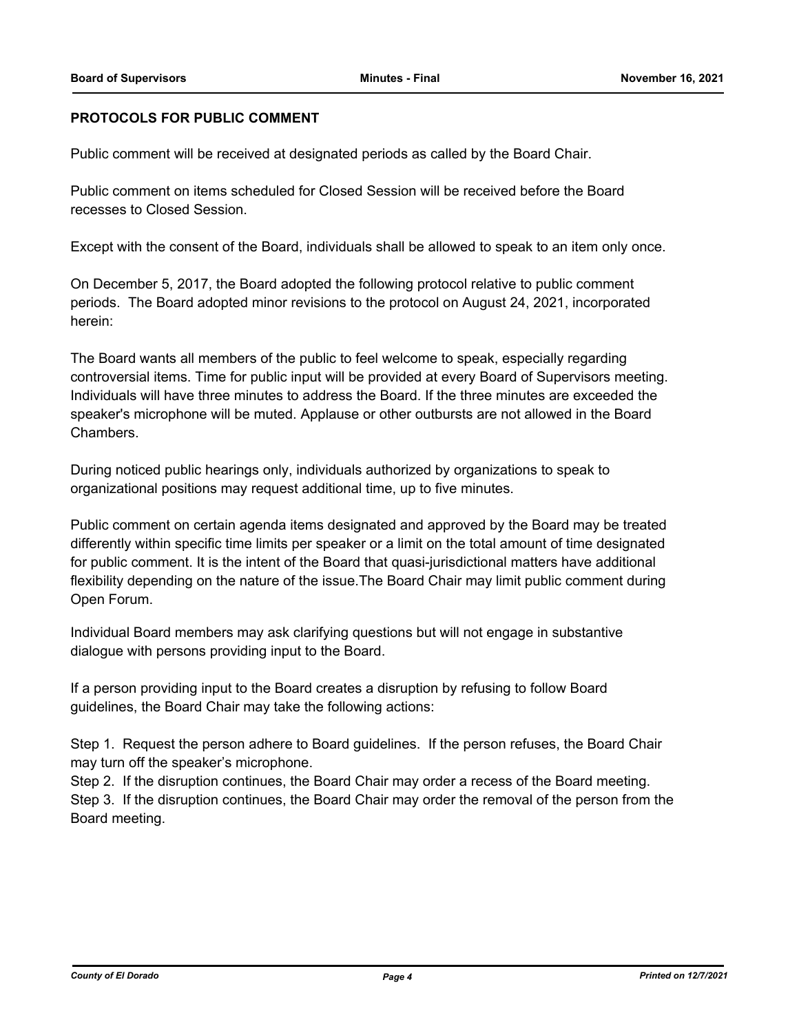# **PROTOCOLS FOR PUBLIC COMMENT**

Public comment will be received at designated periods as called by the Board Chair.

Public comment on items scheduled for Closed Session will be received before the Board recesses to Closed Session.

Except with the consent of the Board, individuals shall be allowed to speak to an item only once.

On December 5, 2017, the Board adopted the following protocol relative to public comment periods. The Board adopted minor revisions to the protocol on August 24, 2021, incorporated herein:

The Board wants all members of the public to feel welcome to speak, especially regarding controversial items. Time for public input will be provided at every Board of Supervisors meeting. Individuals will have three minutes to address the Board. If the three minutes are exceeded the speaker's microphone will be muted. Applause or other outbursts are not allowed in the Board Chambers.

During noticed public hearings only, individuals authorized by organizations to speak to organizational positions may request additional time, up to five minutes.

Public comment on certain agenda items designated and approved by the Board may be treated differently within specific time limits per speaker or a limit on the total amount of time designated for public comment. It is the intent of the Board that quasi-jurisdictional matters have additional flexibility depending on the nature of the issue.The Board Chair may limit public comment during Open Forum.

Individual Board members may ask clarifying questions but will not engage in substantive dialogue with persons providing input to the Board.

If a person providing input to the Board creates a disruption by refusing to follow Board guidelines, the Board Chair may take the following actions:

Step 1. Request the person adhere to Board guidelines. If the person refuses, the Board Chair may turn off the speaker's microphone.

Step 2. If the disruption continues, the Board Chair may order a recess of the Board meeting. Step 3. If the disruption continues, the Board Chair may order the removal of the person from the Board meeting.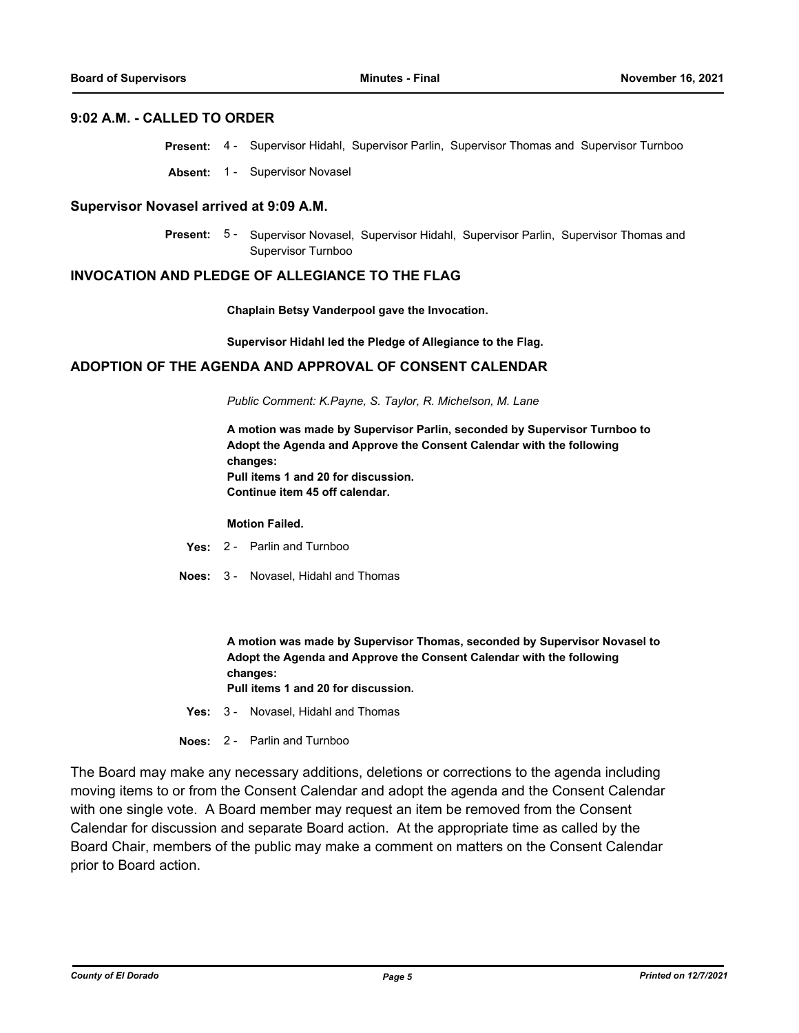#### **9:02 A.M. - CALLED TO ORDER**

- **Present:** 4 Supervisor Hidahl, Supervisor Parlin, Supervisor Thomas and Supervisor Turnboo
- **Absent:** 1 Supervisor Novasel

#### **Supervisor Novasel arrived at 9:09 A.M.**

Present: 5 - Supervisor Novasel, Supervisor Hidahl, Supervisor Parlin, Supervisor Thomas and Supervisor Turnboo

#### **INVOCATION AND PLEDGE OF ALLEGIANCE TO THE FLAG**

**Chaplain Betsy Vanderpool gave the Invocation.**

**Supervisor Hidahl led the Pledge of Allegiance to the Flag.**

# **ADOPTION OF THE AGENDA AND APPROVAL OF CONSENT CALENDAR**

*Public Comment: K.Payne, S. Taylor, R. Michelson, M. Lane*

**A motion was made by Supervisor Parlin, seconded by Supervisor Turnboo to Adopt the Agenda and Approve the Consent Calendar with the following changes: Pull items 1 and 20 for discussion. Continue item 45 off calendar.**

#### **Motion Failed.**

- **Yes:** 2 Parlin and Turnboo
- **Noes:** 3 Novasel, Hidahl and Thomas

**A motion was made by Supervisor Thomas, seconded by Supervisor Novasel to Adopt the Agenda and Approve the Consent Calendar with the following changes: Pull items 1 and 20 for discussion.**

- **Yes:** 3 Novasel, Hidahl and Thomas
- **Noes:** 2 Parlin and Turnboo

The Board may make any necessary additions, deletions or corrections to the agenda including moving items to or from the Consent Calendar and adopt the agenda and the Consent Calendar with one single vote. A Board member may request an item be removed from the Consent Calendar for discussion and separate Board action. At the appropriate time as called by the Board Chair, members of the public may make a comment on matters on the Consent Calendar prior to Board action.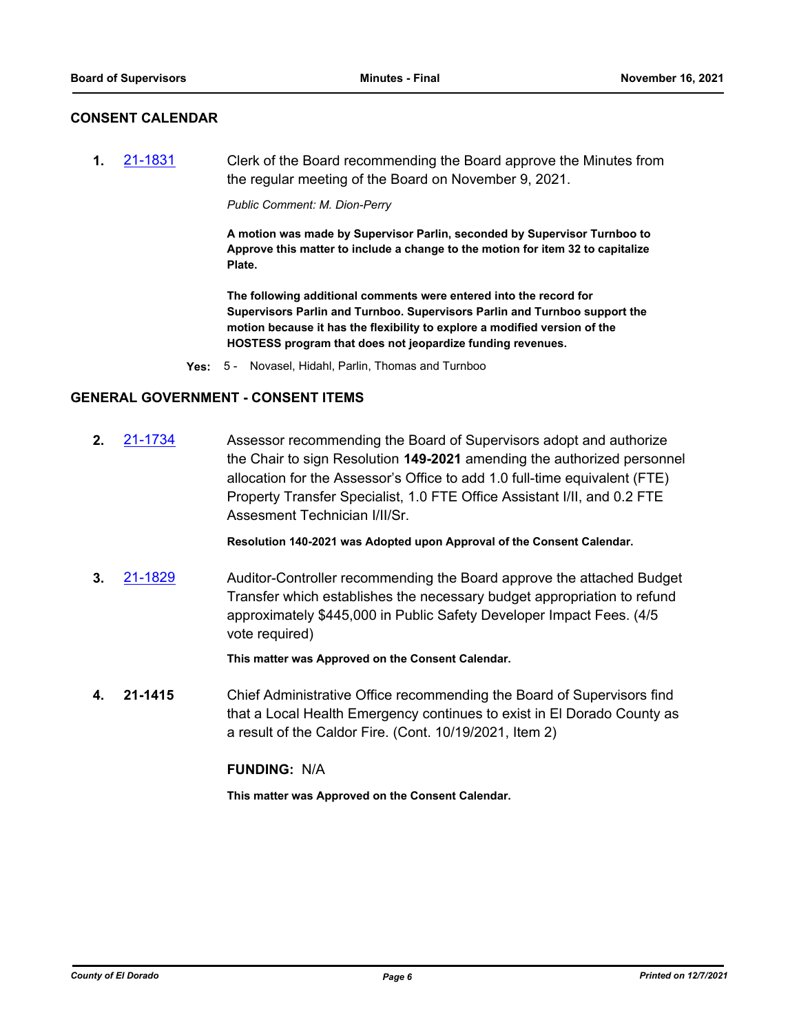# **CONSENT CALENDAR**

**1.** [21-1831](http://eldorado.legistar.com/gateway.aspx?m=l&id=/matter.aspx?key=30727) Clerk of the Board recommending the Board approve the Minutes from the regular meeting of the Board on November 9, 2021.

*Public Comment: M. Dion-Perry*

**A motion was made by Supervisor Parlin, seconded by Supervisor Turnboo to Approve this matter to include a change to the motion for item 32 to capitalize Plate.**

**The following additional comments were entered into the record for Supervisors Parlin and Turnboo. Supervisors Parlin and Turnboo support the motion because it has the flexibility to explore a modified version of the HOSTESS program that does not jeopardize funding revenues.**

**Yes:** 5 - Novasel, Hidahl, Parlin, Thomas and Turnboo

# **GENERAL GOVERNMENT - CONSENT ITEMS**

**2.** [21-1734](http://eldorado.legistar.com/gateway.aspx?m=l&id=/matter.aspx?key=30629) Assessor recommending the Board of Supervisors adopt and authorize the Chair to sign Resolution **149-2021** amending the authorized personnel allocation for the Assessor's Office to add 1.0 full-time equivalent (FTE) Property Transfer Specialist, 1.0 FTE Office Assistant I/II, and 0.2 FTE Assesment Technician I/II/Sr.

**Resolution 140-2021 was Adopted upon Approval of the Consent Calendar.**

**3.** [21-1829](http://eldorado.legistar.com/gateway.aspx?m=l&id=/matter.aspx?key=30725) Auditor-Controller recommending the Board approve the attached Budget Transfer which establishes the necessary budget appropriation to refund approximately \$445,000 in Public Safety Developer Impact Fees. (4/5 vote required)

**This matter was Approved on the Consent Calendar.**

**4. 21-1415** Chief Administrative Office recommending the Board of Supervisors find that a Local Health Emergency continues to exist in El Dorado County as a result of the Caldor Fire. (Cont. 10/19/2021, Item 2)

**FUNDING:** N/A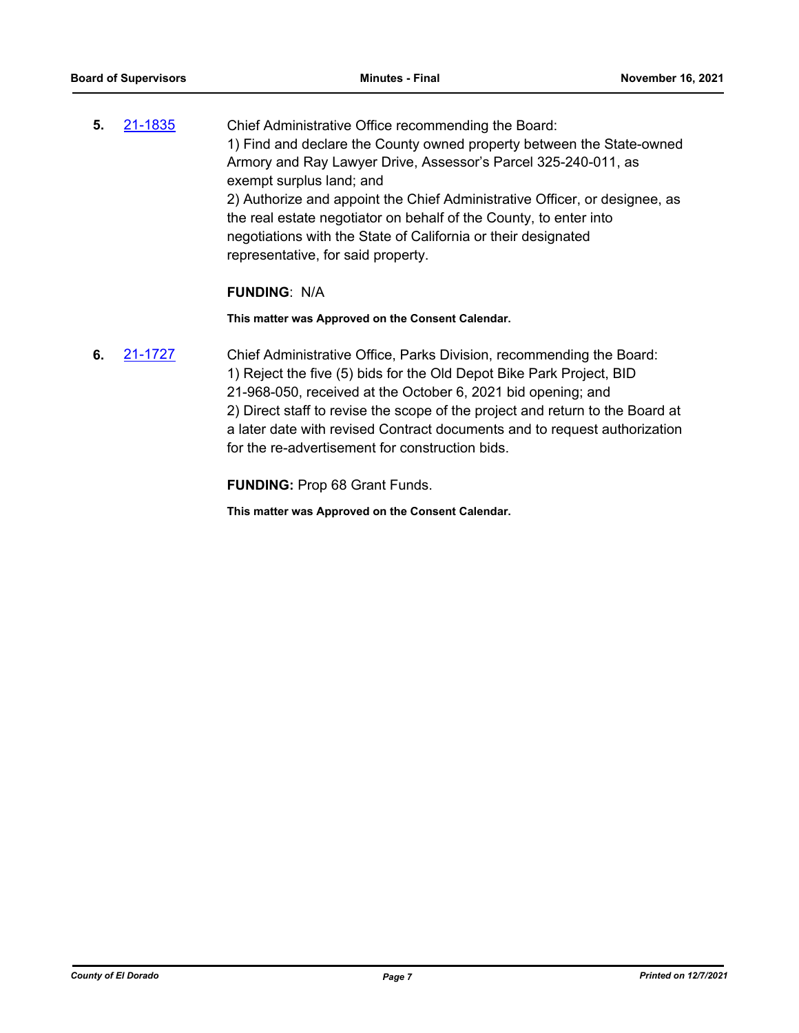**5.** [21-1835](http://eldorado.legistar.com/gateway.aspx?m=l&id=/matter.aspx?key=30731) Chief Administrative Office recommending the Board: 1) Find and declare the County owned property between the State-owned Armory and Ray Lawyer Drive, Assessor's Parcel 325-240-011, as exempt surplus land; and 2) Authorize and appoint the Chief Administrative Officer, or designee, as the real estate negotiator on behalf of the County, to enter into negotiations with the State of California or their designated representative, for said property.

#### **FUNDING**: N/A

**This matter was Approved on the Consent Calendar.**

**6.** [21-1727](http://eldorado.legistar.com/gateway.aspx?m=l&id=/matter.aspx?key=30622) Chief Administrative Office, Parks Division, recommending the Board: 1) Reject the five (5) bids for the Old Depot Bike Park Project, BID 21-968-050, received at the October 6, 2021 bid opening; and 2) Direct staff to revise the scope of the project and return to the Board at a later date with revised Contract documents and to request authorization for the re-advertisement for construction bids.

**FUNDING:** Prop 68 Grant Funds.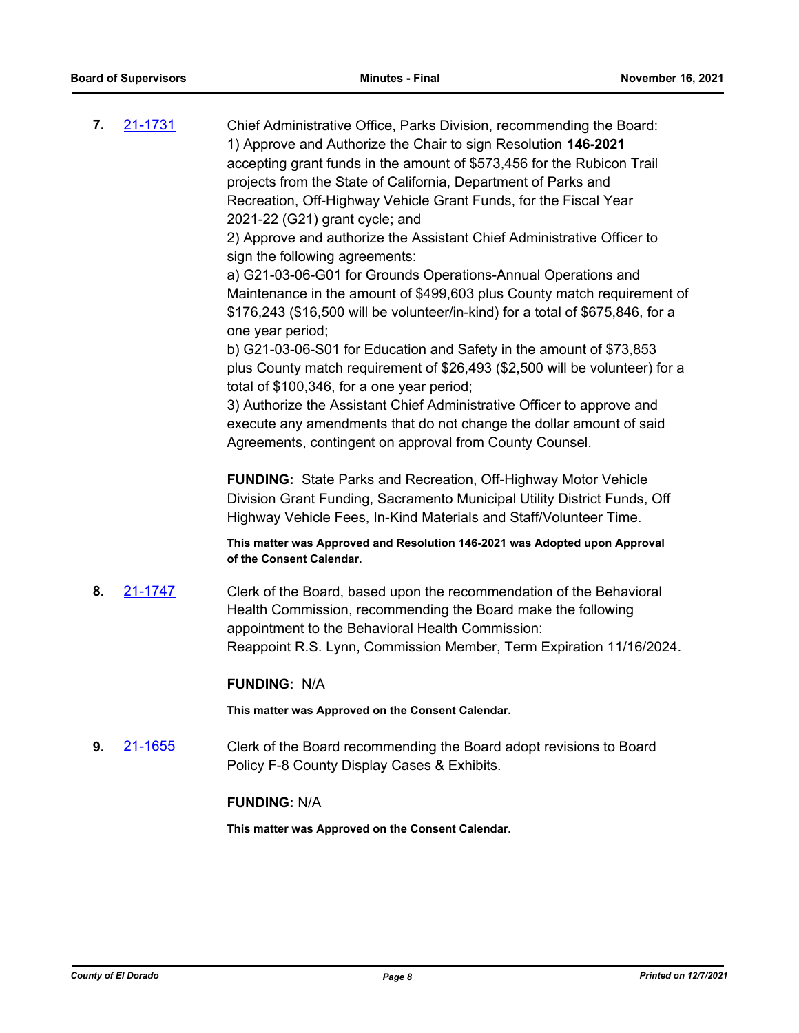| 7. | 21-1731        | Chief Administrative Office, Parks Division, recommending the Board:<br>1) Approve and Authorize the Chair to sign Resolution 146-2021 |
|----|----------------|----------------------------------------------------------------------------------------------------------------------------------------|
|    |                | accepting grant funds in the amount of \$573,456 for the Rubicon Trail                                                                 |
|    |                | projects from the State of California, Department of Parks and                                                                         |
|    |                | Recreation, Off-Highway Vehicle Grant Funds, for the Fiscal Year                                                                       |
|    |                | 2021-22 (G21) grant cycle; and                                                                                                         |
|    |                | 2) Approve and authorize the Assistant Chief Administrative Officer to                                                                 |
|    |                | sign the following agreements:                                                                                                         |
|    |                | a) G21-03-06-G01 for Grounds Operations-Annual Operations and                                                                          |
|    |                | Maintenance in the amount of \$499,603 plus County match requirement of                                                                |
|    |                | \$176,243 (\$16,500 will be volunteer/in-kind) for a total of \$675,846, for a                                                         |
|    |                | one year period;                                                                                                                       |
|    |                | b) G21-03-06-S01 for Education and Safety in the amount of \$73,853                                                                    |
|    |                | plus County match requirement of \$26,493 (\$2,500 will be volunteer) for a<br>total of \$100,346, for a one year period;              |
|    |                | 3) Authorize the Assistant Chief Administrative Officer to approve and                                                                 |
|    |                | execute any amendments that do not change the dollar amount of said                                                                    |
|    |                | Agreements, contingent on approval from County Counsel.                                                                                |
|    |                |                                                                                                                                        |
|    |                | <b>FUNDING:</b> State Parks and Recreation, Off-Highway Motor Vehicle                                                                  |
|    |                | Division Grant Funding, Sacramento Municipal Utility District Funds, Off                                                               |
|    |                | Highway Vehicle Fees, In-Kind Materials and Staff/Volunteer Time.                                                                      |
|    |                | This matter was Approved and Resolution 146-2021 was Adopted upon Approval<br>of the Consent Calendar.                                 |
|    |                |                                                                                                                                        |
| 8. | 21-1747        | Clerk of the Board, based upon the recommendation of the Behavioral                                                                    |
|    |                | Health Commission, recommending the Board make the following                                                                           |
|    |                | appointment to the Behavioral Health Commission:                                                                                       |
|    |                | Reappoint R.S. Lynn, Commission Member, Term Expiration 11/16/2024.                                                                    |
|    |                | <b>FUNDING: N/A</b>                                                                                                                    |
|    |                | This matter was Approved on the Consent Calendar.                                                                                      |
|    |                |                                                                                                                                        |
| 9. | <u>21-1655</u> | Clerk of the Board recommending the Board adopt revisions to Board                                                                     |
|    |                | Policy F-8 County Display Cases & Exhibits.                                                                                            |
|    |                | <b>FUNDING: N/A</b>                                                                                                                    |
|    |                |                                                                                                                                        |
|    |                | This matter was Approved on the Consent Calendar.                                                                                      |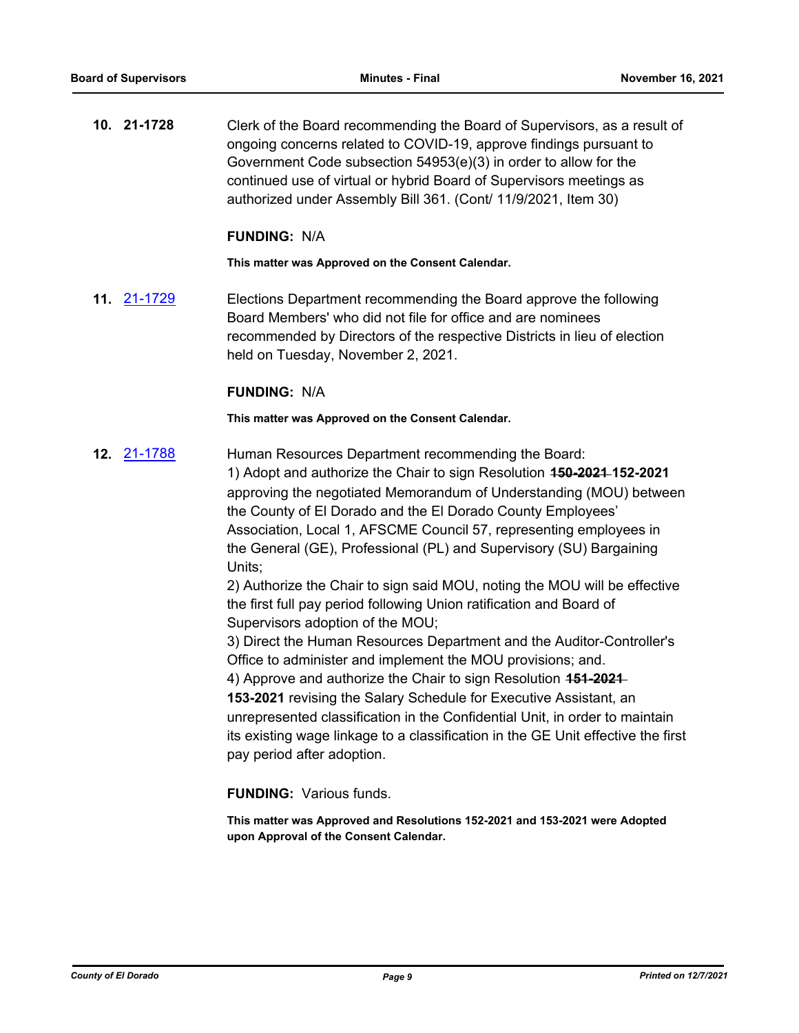**10. 21-1728** Clerk of the Board recommending the Board of Supervisors, as a result of ongoing concerns related to COVID-19, approve findings pursuant to Government Code subsection 54953(e)(3) in order to allow for the continued use of virtual or hybrid Board of Supervisors meetings as authorized under Assembly Bill 361. (Cont/ 11/9/2021, Item 30)

## **FUNDING:** N/A

**This matter was Approved on the Consent Calendar.**

**11.** [21-1729](http://eldorado.legistar.com/gateway.aspx?m=l&id=/matter.aspx?key=30624) Elections Department recommending the Board approve the following Board Members' who did not file for office and are nominees recommended by Directors of the respective Districts in lieu of election held on Tuesday, November 2, 2021.

# **FUNDING:** N/A

**This matter was Approved on the Consent Calendar.**

**12.** [21-1788](http://eldorado.legistar.com/gateway.aspx?m=l&id=/matter.aspx?key=30684) Human Resources Department recommending the Board: 1) Adopt and authorize the Chair to sign Resolution **150-2021 152-2021**  approving the negotiated Memorandum of Understanding (MOU) between the County of El Dorado and the El Dorado County Employees' Association, Local 1, AFSCME Council 57, representing employees in the General (GE), Professional (PL) and Supervisory (SU) Bargaining Units;

2) Authorize the Chair to sign said MOU, noting the MOU will be effective the first full pay period following Union ratification and Board of Supervisors adoption of the MOU;

3) Direct the Human Resources Department and the Auditor-Controller's Office to administer and implement the MOU provisions; and.

4) Approve and authorize the Chair to sign Resolution **151-2021** 

**153-2021** revising the Salary Schedule for Executive Assistant, an unrepresented classification in the Confidential Unit, in order to maintain its existing wage linkage to a classification in the GE Unit effective the first pay period after adoption.

**FUNDING:** Various funds.

**This matter was Approved and Resolutions 152-2021 and 153-2021 were Adopted upon Approval of the Consent Calendar.**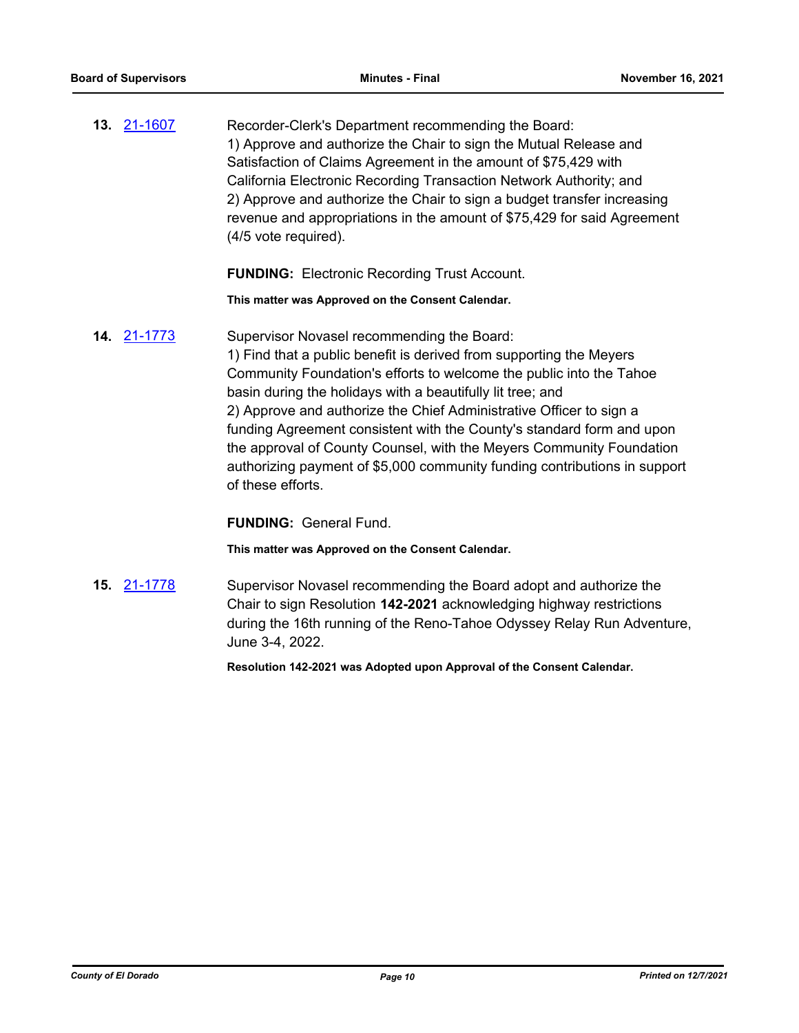**13.** [21-1607](http://eldorado.legistar.com/gateway.aspx?m=l&id=/matter.aspx?key=30502) Recorder-Clerk's Department recommending the Board: 1) Approve and authorize the Chair to sign the Mutual Release and Satisfaction of Claims Agreement in the amount of \$75,429 with California Electronic Recording Transaction Network Authority; and 2) Approve and authorize the Chair to sign a budget transfer increasing revenue and appropriations in the amount of \$75,429 for said Agreement (4/5 vote required).

**FUNDING:** Electronic Recording Trust Account.

**This matter was Approved on the Consent Calendar.**

**14.** [21-1773](http://eldorado.legistar.com/gateway.aspx?m=l&id=/matter.aspx?key=30669) Supervisor Novasel recommending the Board: 1) Find that a public benefit is derived from supporting the Meyers Community Foundation's efforts to welcome the public into the Tahoe basin during the holidays with a beautifully lit tree; and 2) Approve and authorize the Chief Administrative Officer to sign a funding Agreement consistent with the County's standard form and upon the approval of County Counsel, with the Meyers Community Foundation authorizing payment of \$5,000 community funding contributions in support of these efforts.

**FUNDING:** General Fund.

**This matter was Approved on the Consent Calendar.**

**15.** [21-1778](http://eldorado.legistar.com/gateway.aspx?m=l&id=/matter.aspx?key=30674) Supervisor Novasel recommending the Board adopt and authorize the Chair to sign Resolution **142-2021** acknowledging highway restrictions during the 16th running of the Reno-Tahoe Odyssey Relay Run Adventure, June 3-4, 2022.

**Resolution 142-2021 was Adopted upon Approval of the Consent Calendar.**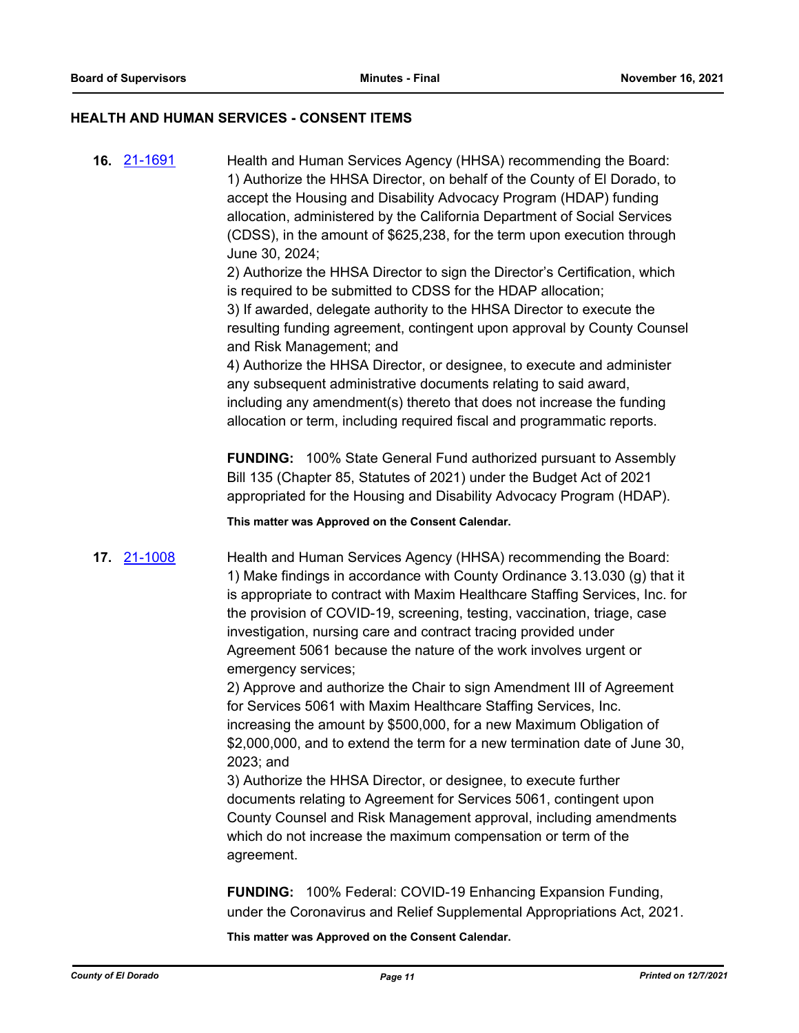### **HEALTH AND HUMAN SERVICES - CONSENT ITEMS**

**16.** [21-1691](http://eldorado.legistar.com/gateway.aspx?m=l&id=/matter.aspx?key=30586) Health and Human Services Agency (HHSA) recommending the Board: 1) Authorize the HHSA Director, on behalf of the County of El Dorado, to accept the Housing and Disability Advocacy Program (HDAP) funding allocation, administered by the California Department of Social Services (CDSS), in the amount of \$625,238, for the term upon execution through June 30, 2024;

> 2) Authorize the HHSA Director to sign the Director's Certification, which is required to be submitted to CDSS for the HDAP allocation;

3) If awarded, delegate authority to the HHSA Director to execute the resulting funding agreement, contingent upon approval by County Counsel and Risk Management; and

4) Authorize the HHSA Director, or designee, to execute and administer any subsequent administrative documents relating to said award, including any amendment(s) thereto that does not increase the funding allocation or term, including required fiscal and programmatic reports.

**FUNDING:** 100% State General Fund authorized pursuant to Assembly Bill 135 (Chapter 85, Statutes of 2021) under the Budget Act of 2021 appropriated for the Housing and Disability Advocacy Program (HDAP).

**This matter was Approved on the Consent Calendar.**

**17.** [21-1008](http://eldorado.legistar.com/gateway.aspx?m=l&id=/matter.aspx?key=29902) Health and Human Services Agency (HHSA) recommending the Board: 1) Make findings in accordance with County Ordinance 3.13.030 (g) that it is appropriate to contract with Maxim Healthcare Staffing Services, Inc. for the provision of COVID-19, screening, testing, vaccination, triage, case investigation, nursing care and contract tracing provided under Agreement 5061 because the nature of the work involves urgent or emergency services;

> 2) Approve and authorize the Chair to sign Amendment III of Agreement for Services 5061 with Maxim Healthcare Staffing Services, Inc. increasing the amount by \$500,000, for a new Maximum Obligation of \$2,000,000, and to extend the term for a new termination date of June 30, 2023; and

3) Authorize the HHSA Director, or designee, to execute further documents relating to Agreement for Services 5061, contingent upon County Counsel and Risk Management approval, including amendments which do not increase the maximum compensation or term of the agreement.

**FUNDING:** 100% Federal: COVID-19 Enhancing Expansion Funding, under the Coronavirus and Relief Supplemental Appropriations Act, 2021.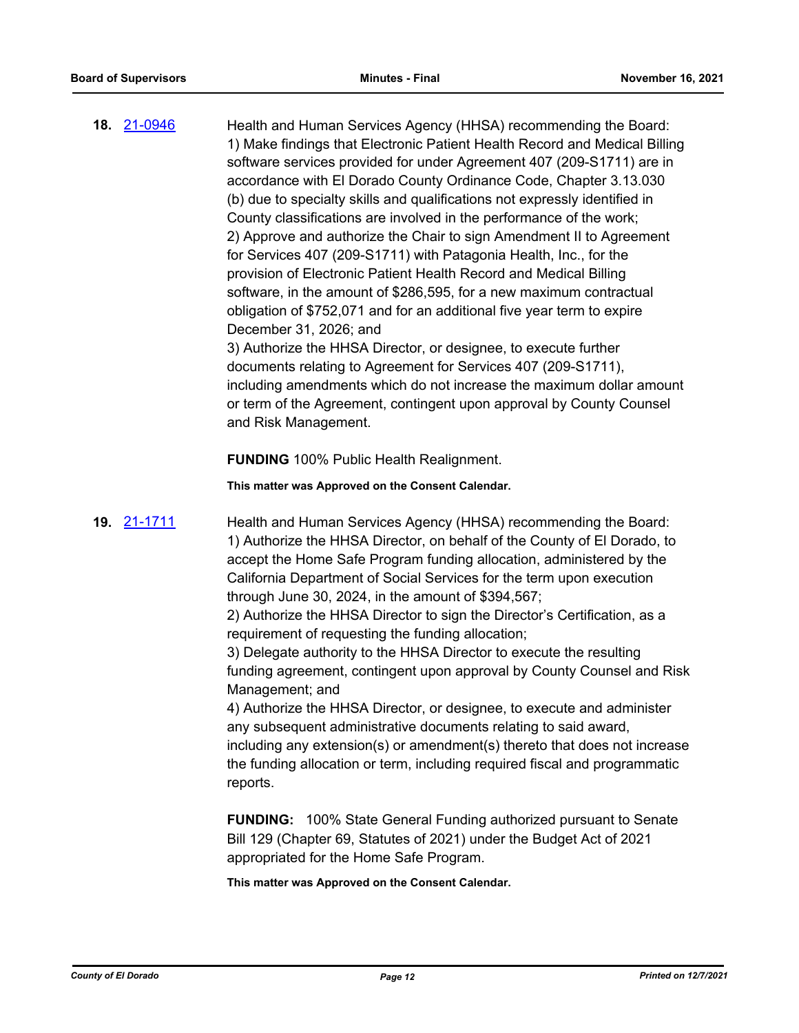| 18. 21-0946 | Health and Human Services Agency (HHSA) recommending the Board:<br>1) Make findings that Electronic Patient Health Record and Medical Billing |
|-------------|-----------------------------------------------------------------------------------------------------------------------------------------------|
|             | software services provided for under Agreement 407 (209-S1711) are in                                                                         |
|             | accordance with El Dorado County Ordinance Code, Chapter 3.13.030                                                                             |
|             | (b) due to specialty skills and qualifications not expressly identified in                                                                    |
|             | County classifications are involved in the performance of the work;                                                                           |
|             | 2) Approve and authorize the Chair to sign Amendment II to Agreement                                                                          |
|             | for Services 407 (209-S1711) with Patagonia Health, Inc., for the                                                                             |
|             | provision of Electronic Patient Health Record and Medical Billing                                                                             |
|             | software, in the amount of \$286,595, for a new maximum contractual                                                                           |
|             | obligation of \$752,071 and for an additional five year term to expire                                                                        |
|             | December 31, 2026; and                                                                                                                        |
|             | 3) Authorize the HHSA Director, or designee, to execute further                                                                               |
|             | documents relating to Agreement for Services 407 (209-S1711),                                                                                 |
|             | including amendments which do not increase the maximum dollar amount                                                                          |
|             | or term of the Agreement, contingent upon approval by County Counsel                                                                          |
|             | and Risk Management.                                                                                                                          |
|             | <b>FUNDING</b> 100% Public Health Realignment.                                                                                                |
|             |                                                                                                                                               |

**This matter was Approved on the Consent Calendar.**

**19.** [21-1711](http://eldorado.legistar.com/gateway.aspx?m=l&id=/matter.aspx?key=30606) Health and Human Services Agency (HHSA) recommending the Board: 1) Authorize the HHSA Director, on behalf of the County of El Dorado, to accept the Home Safe Program funding allocation, administered by the California Department of Social Services for the term upon execution through June 30, 2024, in the amount of \$394,567;

> 2) Authorize the HHSA Director to sign the Director's Certification, as a requirement of requesting the funding allocation;

3) Delegate authority to the HHSA Director to execute the resulting funding agreement, contingent upon approval by County Counsel and Risk Management; and

4) Authorize the HHSA Director, or designee, to execute and administer any subsequent administrative documents relating to said award, including any extension(s) or amendment(s) thereto that does not increase the funding allocation or term, including required fiscal and programmatic reports.

**FUNDING:** 100% State General Funding authorized pursuant to Senate Bill 129 (Chapter 69, Statutes of 2021) under the Budget Act of 2021 appropriated for the Home Safe Program.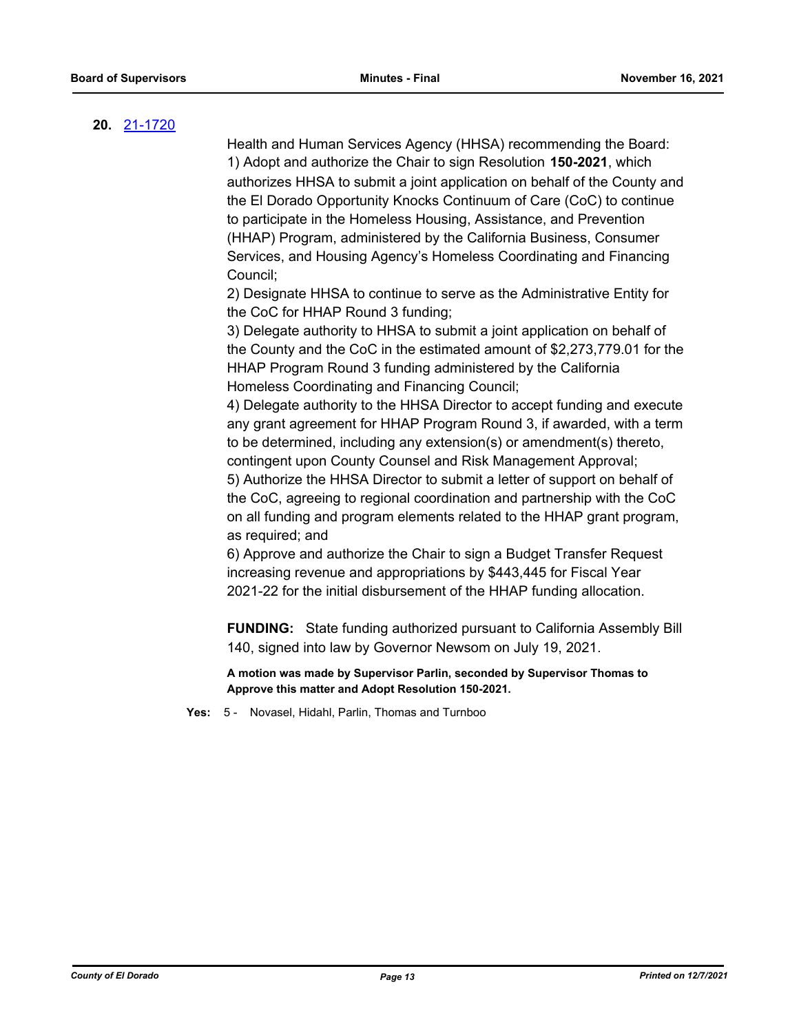# **20.** [21-1720](http://eldorado.legistar.com/gateway.aspx?m=l&id=/matter.aspx?key=30615)

Health and Human Services Agency (HHSA) recommending the Board: 1) Adopt and authorize the Chair to sign Resolution **150-2021**, which authorizes HHSA to submit a joint application on behalf of the County and the El Dorado Opportunity Knocks Continuum of Care (CoC) to continue to participate in the Homeless Housing, Assistance, and Prevention (HHAP) Program, administered by the California Business, Consumer Services, and Housing Agency's Homeless Coordinating and Financing Council;

2) Designate HHSA to continue to serve as the Administrative Entity for the CoC for HHAP Round 3 funding;

3) Delegate authority to HHSA to submit a joint application on behalf of the County and the CoC in the estimated amount of \$2,273,779.01 for the HHAP Program Round 3 funding administered by the California Homeless Coordinating and Financing Council;

4) Delegate authority to the HHSA Director to accept funding and execute any grant agreement for HHAP Program Round 3, if awarded, with a term to be determined, including any extension(s) or amendment(s) thereto, contingent upon County Counsel and Risk Management Approval;

5) Authorize the HHSA Director to submit a letter of support on behalf of the CoC, agreeing to regional coordination and partnership with the CoC on all funding and program elements related to the HHAP grant program, as required; and

6) Approve and authorize the Chair to sign a Budget Transfer Request increasing revenue and appropriations by \$443,445 for Fiscal Year 2021-22 for the initial disbursement of the HHAP funding allocation.

**FUNDING:** State funding authorized pursuant to California Assembly Bill 140, signed into law by Governor Newsom on July 19, 2021.

**A motion was made by Supervisor Parlin, seconded by Supervisor Thomas to Approve this matter and Adopt Resolution 150-2021.**

**Yes:** 5 - Novasel, Hidahl, Parlin, Thomas and Turnboo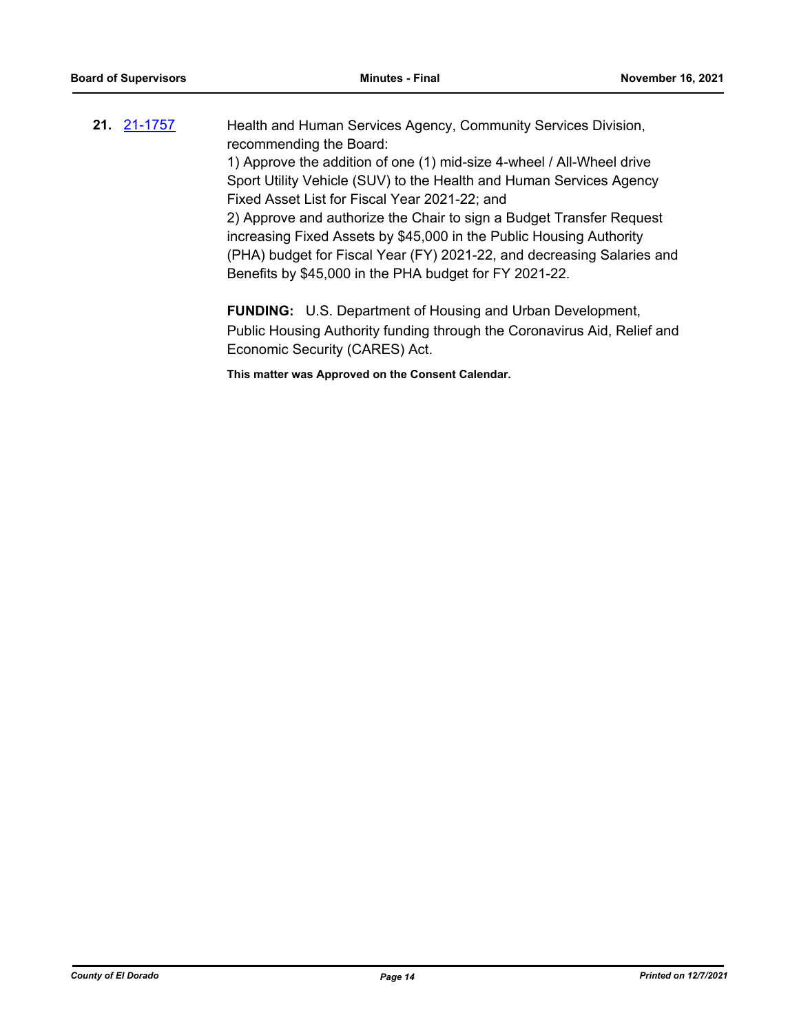**21.** [21-1757](http://eldorado.legistar.com/gateway.aspx?m=l&id=/matter.aspx?key=30653) Health and Human Services Agency, Community Services Division, recommending the Board: 1) Approve the addition of one (1) mid-size 4-wheel / All-Wheel drive Sport Utility Vehicle (SUV) to the Health and Human Services Agency Fixed Asset List for Fiscal Year 2021-22; and 2) Approve and authorize the Chair to sign a Budget Transfer Request increasing Fixed Assets by \$45,000 in the Public Housing Authority

(PHA) budget for Fiscal Year (FY) 2021-22, and decreasing Salaries and Benefits by \$45,000 in the PHA budget for FY 2021-22.

**FUNDING:** U.S. Department of Housing and Urban Development, Public Housing Authority funding through the Coronavirus Aid, Relief and Economic Security (CARES) Act.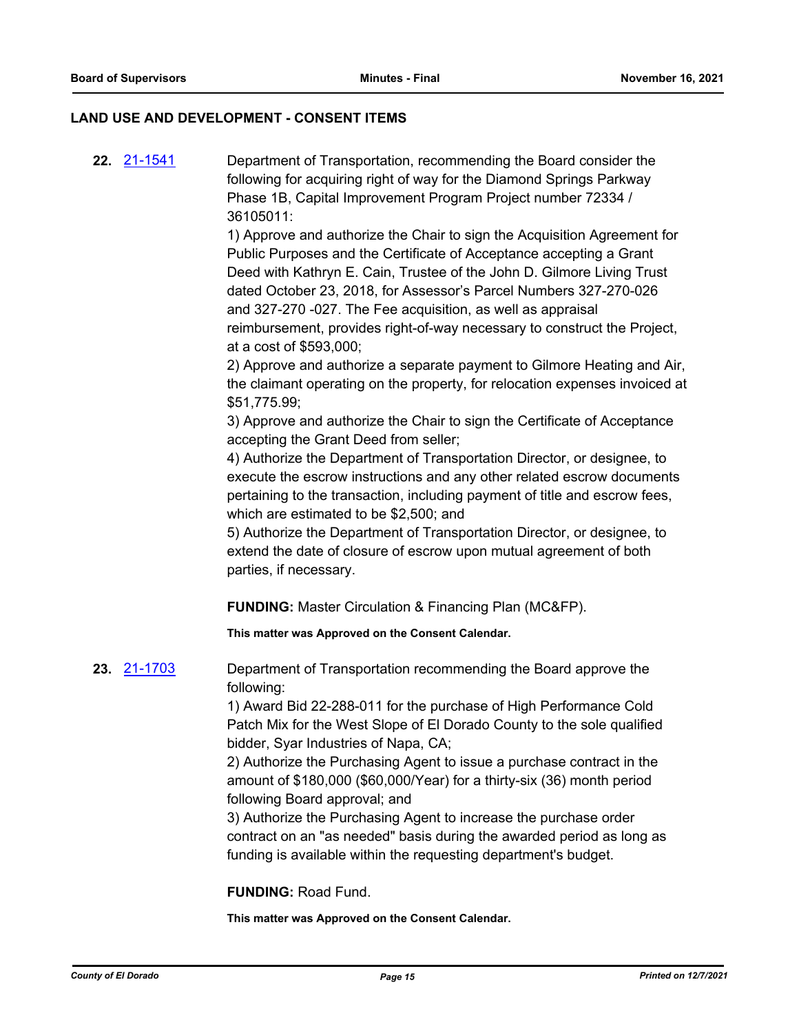## **LAND USE AND DEVELOPMENT - CONSENT ITEMS**

**22.** [21-1541](http://eldorado.legistar.com/gateway.aspx?m=l&id=/matter.aspx?key=30436) Department of Transportation, recommending the Board consider the following for acquiring right of way for the Diamond Springs Parkway Phase 1B, Capital Improvement Program Project number 72334 / 36105011:

> 1) Approve and authorize the Chair to sign the Acquisition Agreement for Public Purposes and the Certificate of Acceptance accepting a Grant Deed with Kathryn E. Cain, Trustee of the John D. Gilmore Living Trust dated October 23, 2018, for Assessor's Parcel Numbers 327-270-026 and 327-270 -027. The Fee acquisition, as well as appraisal reimbursement, provides right-of-way necessary to construct the Project, at a cost of \$593,000;

2) Approve and authorize a separate payment to Gilmore Heating and Air, the claimant operating on the property, for relocation expenses invoiced at \$51,775.99;

3) Approve and authorize the Chair to sign the Certificate of Acceptance accepting the Grant Deed from seller;

4) Authorize the Department of Transportation Director, or designee, to execute the escrow instructions and any other related escrow documents pertaining to the transaction, including payment of title and escrow fees, which are estimated to be \$2,500; and

5) Authorize the Department of Transportation Director, or designee, to extend the date of closure of escrow upon mutual agreement of both parties, if necessary.

**FUNDING:** Master Circulation & Financing Plan (MC&FP).

**This matter was Approved on the Consent Calendar.**

**23.** [21-1703](http://eldorado.legistar.com/gateway.aspx?m=l&id=/matter.aspx?key=30598) Department of Transportation recommending the Board approve the following:

> 1) Award Bid 22-288-011 for the purchase of High Performance Cold Patch Mix for the West Slope of El Dorado County to the sole qualified bidder, Syar Industries of Napa, CA;

2) Authorize the Purchasing Agent to issue a purchase contract in the amount of \$180,000 (\$60,000/Year) for a thirty-six (36) month period following Board approval; and

3) Authorize the Purchasing Agent to increase the purchase order contract on an "as needed" basis during the awarded period as long as funding is available within the requesting department's budget.

**FUNDING:** Road Fund.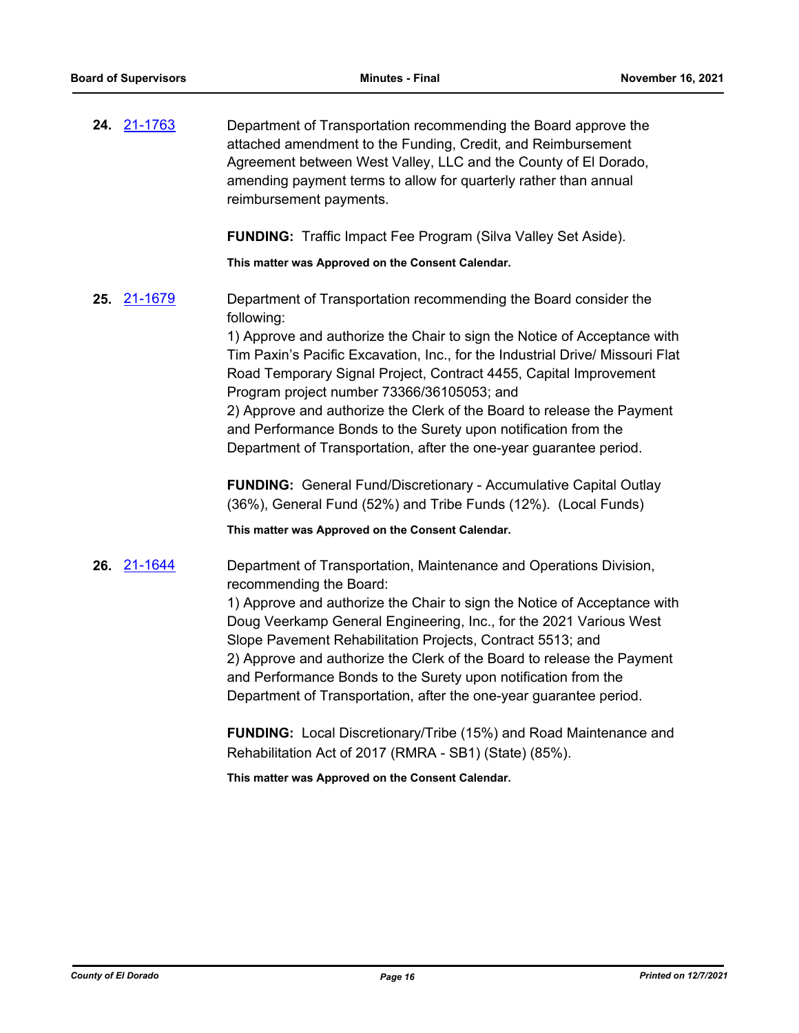**24.** [21-1763](http://eldorado.legistar.com/gateway.aspx?m=l&id=/matter.aspx?key=30659) Department of Transportation recommending the Board approve the attached amendment to the Funding, Credit, and Reimbursement Agreement between West Valley, LLC and the County of El Dorado, amending payment terms to allow for quarterly rather than annual reimbursement payments.

**FUNDING:** Traffic Impact Fee Program (Silva Valley Set Aside).

**This matter was Approved on the Consent Calendar.**

**25.** [21-1679](http://eldorado.legistar.com/gateway.aspx?m=l&id=/matter.aspx?key=30574) Department of Transportation recommending the Board consider the following:

> 1) Approve and authorize the Chair to sign the Notice of Acceptance with Tim Paxin's Pacific Excavation, Inc., for the Industrial Drive/ Missouri Flat Road Temporary Signal Project, Contract 4455, Capital Improvement Program project number 73366/36105053; and

2) Approve and authorize the Clerk of the Board to release the Payment and Performance Bonds to the Surety upon notification from the Department of Transportation, after the one-year guarantee period.

**FUNDING:** General Fund/Discretionary - Accumulative Capital Outlay (36%), General Fund (52%) and Tribe Funds (12%). (Local Funds)

**This matter was Approved on the Consent Calendar.**

**26.** [21-1644](http://eldorado.legistar.com/gateway.aspx?m=l&id=/matter.aspx?key=30539) Department of Transportation, Maintenance and Operations Division, recommending the Board:

> 1) Approve and authorize the Chair to sign the Notice of Acceptance with Doug Veerkamp General Engineering, Inc., for the 2021 Various West Slope Pavement Rehabilitation Projects, Contract 5513; and 2) Approve and authorize the Clerk of the Board to release the Payment and Performance Bonds to the Surety upon notification from the Department of Transportation, after the one-year guarantee period.

> **FUNDING:** Local Discretionary/Tribe (15%) and Road Maintenance and Rehabilitation Act of 2017 (RMRA - SB1) (State) (85%).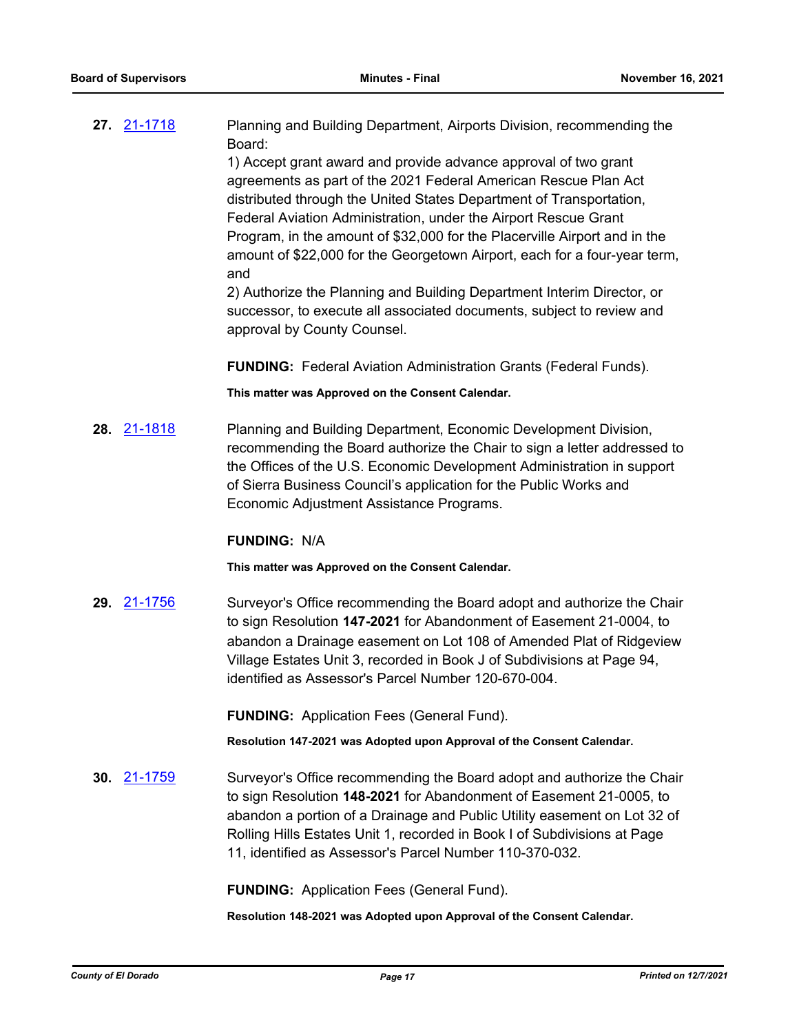**27.** [21-1718](http://eldorado.legistar.com/gateway.aspx?m=l&id=/matter.aspx?key=30613) Planning and Building Department, Airports Division, recommending the Board:

1) Accept grant award and provide advance approval of two grant agreements as part of the 2021 Federal American Rescue Plan Act distributed through the United States Department of Transportation, Federal Aviation Administration, under the Airport Rescue Grant Program, in the amount of \$32,000 for the Placerville Airport and in the amount of \$22,000 for the Georgetown Airport, each for a four-year term, and

2) Authorize the Planning and Building Department Interim Director, or successor, to execute all associated documents, subject to review and approval by County Counsel.

**FUNDING:** Federal Aviation Administration Grants (Federal Funds).

**This matter was Approved on the Consent Calendar.**

**28.** [21-1818](http://eldorado.legistar.com/gateway.aspx?m=l&id=/matter.aspx?key=30714) Planning and Building Department, Economic Development Division, recommending the Board authorize the Chair to sign a letter addressed to the Offices of the U.S. Economic Development Administration in support of Sierra Business Council's application for the Public Works and Economic Adjustment Assistance Programs.

#### **FUNDING:** N/A

**This matter was Approved on the Consent Calendar.**

**29.** [21-1756](http://eldorado.legistar.com/gateway.aspx?m=l&id=/matter.aspx?key=30652) Surveyor's Office recommending the Board adopt and authorize the Chair to sign Resolution **147-2021** for Abandonment of Easement 21-0004, to abandon a Drainage easement on Lot 108 of Amended Plat of Ridgeview Village Estates Unit 3, recorded in Book J of Subdivisions at Page 94, identified as Assessor's Parcel Number 120-670-004.

**FUNDING:** Application Fees (General Fund).

**Resolution 147-2021 was Adopted upon Approval of the Consent Calendar.**

**30.** [21-1759](http://eldorado.legistar.com/gateway.aspx?m=l&id=/matter.aspx?key=30655) Surveyor's Office recommending the Board adopt and authorize the Chair to sign Resolution **148-2021** for Abandonment of Easement 21-0005, to abandon a portion of a Drainage and Public Utility easement on Lot 32 of Rolling Hills Estates Unit 1, recorded in Book I of Subdivisions at Page 11, identified as Assessor's Parcel Number 110-370-032.

**FUNDING:** Application Fees (General Fund).

**Resolution 148-2021 was Adopted upon Approval of the Consent Calendar.**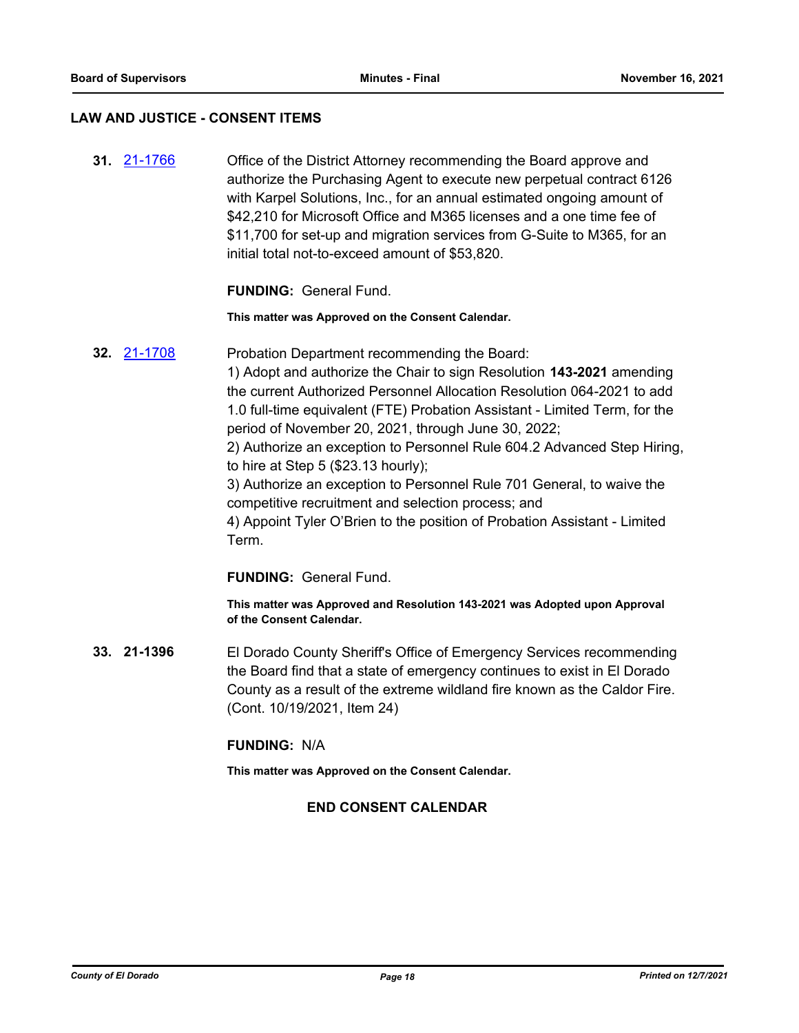#### **LAW AND JUSTICE - CONSENT ITEMS**

**31.** [21-1766](http://eldorado.legistar.com/gateway.aspx?m=l&id=/matter.aspx?key=30662) Office of the District Attorney recommending the Board approve and authorize the Purchasing Agent to execute new perpetual contract 6126 with Karpel Solutions, Inc., for an annual estimated ongoing amount of \$42,210 for Microsoft Office and M365 licenses and a one time fee of \$11,700 for set-up and migration services from G-Suite to M365, for an initial total not-to-exceed amount of \$53,820.

**FUNDING:** General Fund.

**This matter was Approved on the Consent Calendar.**

**32.** [21-1708](http://eldorado.legistar.com/gateway.aspx?m=l&id=/matter.aspx?key=30603) Probation Department recommending the Board: 1) Adopt and authorize the Chair to sign Resolution **143-2021** amending the current Authorized Personnel Allocation Resolution 064-2021 to add 1.0 full-time equivalent (FTE) Probation Assistant - Limited Term, for the period of November 20, 2021, through June 30, 2022; 2) Authorize an exception to Personnel Rule 604.2 Advanced Step Hiring, to hire at Step 5 (\$23.13 hourly); 3) Authorize an exception to Personnel Rule 701 General, to waive the competitive recruitment and selection process; and 4) Appoint Tyler O'Brien to the position of Probation Assistant - Limited

**FUNDING:** General Fund.

**of the Consent Calendar.**

(Cont. 10/19/2021, Item 24)

Term.

**This matter was Approved and Resolution 143-2021 was Adopted upon Approval** 

**33. 21-1396** El Dorado County Sheriff's Office of Emergency Services recommending the Board find that a state of emergency continues to exist in El Dorado County as a result of the extreme wildland fire known as the Caldor Fire.

#### **FUNDING:** N/A

**This matter was Approved on the Consent Calendar.**

# **END CONSENT CALENDAR**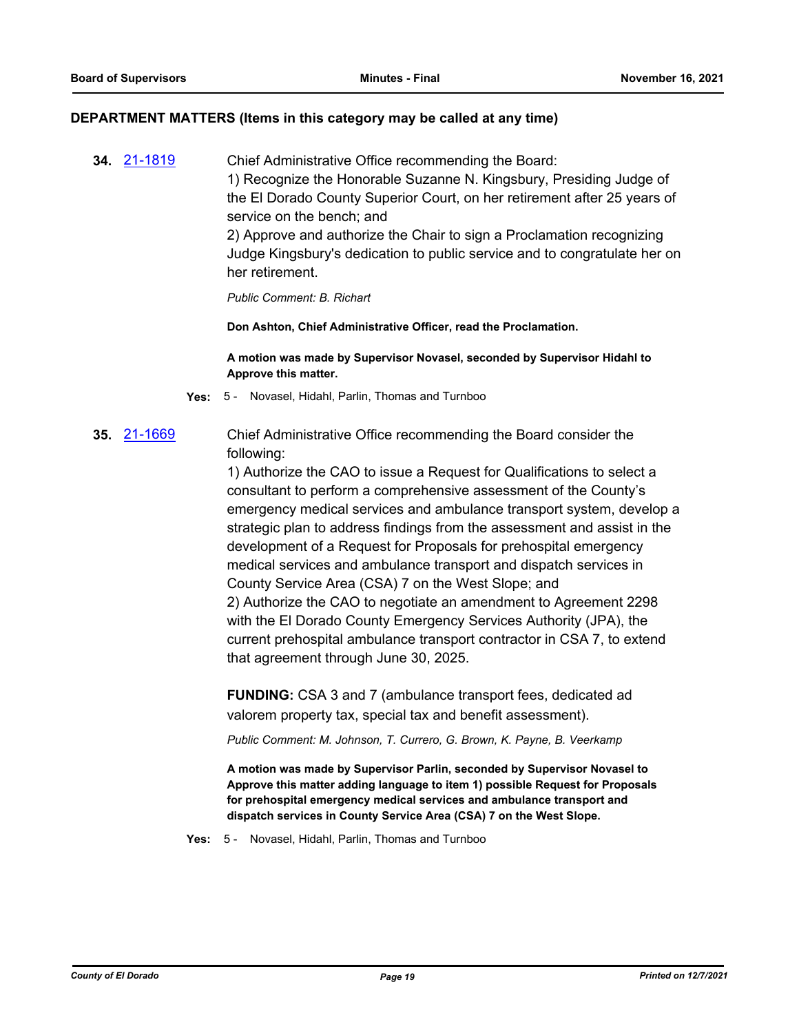#### **DEPARTMENT MATTERS (Items in this category may be called at any time)**

**34.** [21-1819](http://eldorado.legistar.com/gateway.aspx?m=l&id=/matter.aspx?key=30715) Chief Administrative Office recommending the Board: 1) Recognize the Honorable Suzanne N. Kingsbury, Presiding Judge of the El Dorado County Superior Court, on her retirement after 25 years of service on the bench; and 2) Approve and authorize the Chair to sign a Proclamation recognizing Judge Kingsbury's dedication to public service and to congratulate her on her retirement.

*Public Comment: B. Richart*

**Don Ashton, Chief Administrative Officer, read the Proclamation.** 

**A motion was made by Supervisor Novasel, seconded by Supervisor Hidahl to Approve this matter.**

- **Yes:** 5 Novasel, Hidahl, Parlin, Thomas and Turnboo
- **35.** [21-1669](http://eldorado.legistar.com/gateway.aspx?m=l&id=/matter.aspx?key=30564) Chief Administrative Office recommending the Board consider the following:

1) Authorize the CAO to issue a Request for Qualifications to select a consultant to perform a comprehensive assessment of the County's emergency medical services and ambulance transport system, develop a strategic plan to address findings from the assessment and assist in the development of a Request for Proposals for prehospital emergency medical services and ambulance transport and dispatch services in County Service Area (CSA) 7 on the West Slope; and 2) Authorize the CAO to negotiate an amendment to Agreement 2298 with the El Dorado County Emergency Services Authority (JPA), the current prehospital ambulance transport contractor in CSA 7, to extend that agreement through June 30, 2025.

**FUNDING:** CSA 3 and 7 (ambulance transport fees, dedicated ad valorem property tax, special tax and benefit assessment).

*Public Comment: M. Johnson, T. Currero, G. Brown, K. Payne, B. Veerkamp*

**A motion was made by Supervisor Parlin, seconded by Supervisor Novasel to Approve this matter adding language to item 1) possible Request for Proposals for prehospital emergency medical services and ambulance transport and dispatch services in County Service Area (CSA) 7 on the West Slope.**

**Yes:** 5 - Novasel, Hidahl, Parlin, Thomas and Turnboo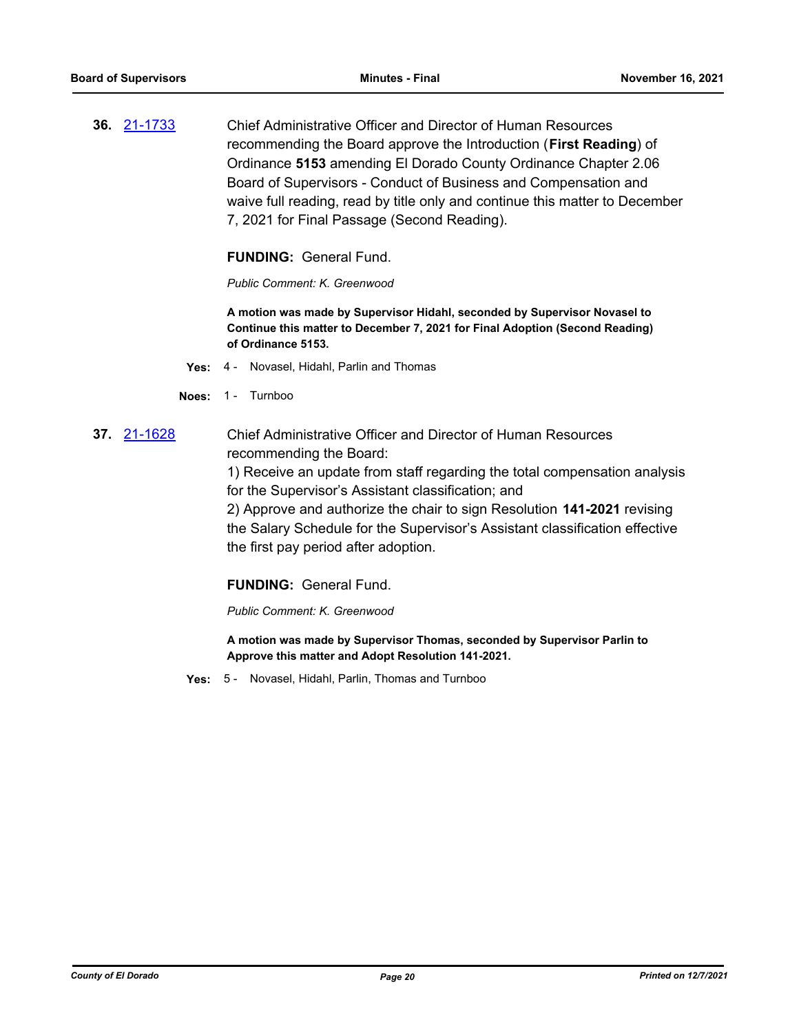**36.** [21-1733](http://eldorado.legistar.com/gateway.aspx?m=l&id=/matter.aspx?key=30628) Chief Administrative Officer and Director of Human Resources recommending the Board approve the Introduction (**First Reading**) of Ordinance **5153** amending El Dorado County Ordinance Chapter 2.06 Board of Supervisors - Conduct of Business and Compensation and waive full reading, read by title only and continue this matter to December 7, 2021 for Final Passage (Second Reading).

**FUNDING:** General Fund.

*Public Comment: K. Greenwood*

**A motion was made by Supervisor Hidahl, seconded by Supervisor Novasel to Continue this matter to December 7, 2021 for Final Adoption (Second Reading) of Ordinance 5153.**

- **Yes:** 4 Novasel, Hidahl, Parlin and Thomas
- **Noes:** 1 Turnboo
- **37.** [21-1628](http://eldorado.legistar.com/gateway.aspx?m=l&id=/matter.aspx?key=30523) Chief Administrative Officer and Director of Human Resources recommending the Board:

1) Receive an update from staff regarding the total compensation analysis for the Supervisor's Assistant classification; and

2) Approve and authorize the chair to sign Resolution **141-2021** revising the Salary Schedule for the Supervisor's Assistant classification effective the first pay period after adoption.

#### **FUNDING:** General Fund.

*Public Comment: K. Greenwood*

**A motion was made by Supervisor Thomas, seconded by Supervisor Parlin to Approve this matter and Adopt Resolution 141-2021.**

**Yes:** 5 - Novasel, Hidahl, Parlin, Thomas and Turnboo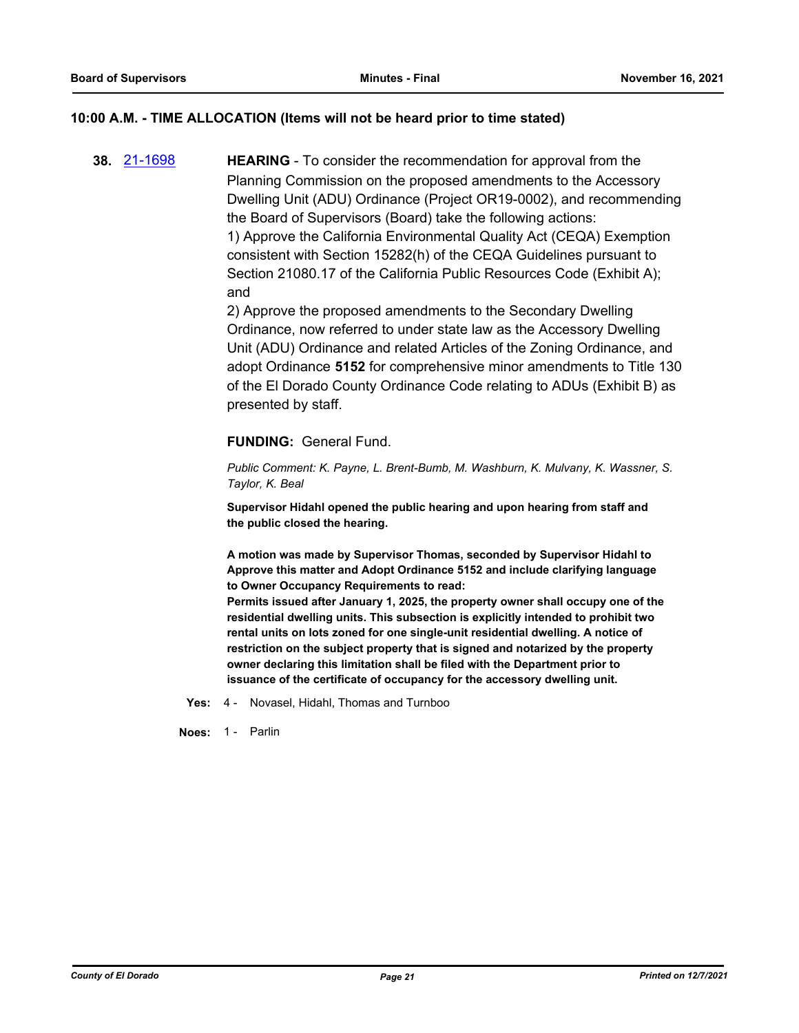## **10:00 A.M. - TIME ALLOCATION (Items will not be heard prior to time stated)**

**38.** [21-1698](http://eldorado.legistar.com/gateway.aspx?m=l&id=/matter.aspx?key=30593) **HEARING** - To consider the recommendation for approval from the Planning Commission on the proposed amendments to the Accessory Dwelling Unit (ADU) Ordinance (Project OR19-0002), and recommending the Board of Supervisors (Board) take the following actions: 1) Approve the California Environmental Quality Act (CEQA) Exemption consistent with Section 15282(h) of the CEQA Guidelines pursuant to Section 21080.17 of the California Public Resources Code (Exhibit A); and

2) Approve the proposed amendments to the Secondary Dwelling Ordinance, now referred to under state law as the Accessory Dwelling Unit (ADU) Ordinance and related Articles of the Zoning Ordinance, and adopt Ordinance **5152** for comprehensive minor amendments to Title 130 of the El Dorado County Ordinance Code relating to ADUs (Exhibit B) as presented by staff.

#### **FUNDING:** General Fund.

*Public Comment: K. Payne, L. Brent-Bumb, M. Washburn, K. Mulvany, K. Wassner, S. Taylor, K. Beal*

**Supervisor Hidahl opened the public hearing and upon hearing from staff and the public closed the hearing.**

**A motion was made by Supervisor Thomas, seconded by Supervisor Hidahl to Approve this matter and Adopt Ordinance 5152 and include clarifying language to Owner Occupancy Requirements to read:**

**Permits issued after January 1, 2025, the property owner shall occupy one of the residential dwelling units. This subsection is explicitly intended to prohibit two rental units on lots zoned for one single-unit residential dwelling. A notice of restriction on the subject property that is signed and notarized by the property owner declaring this limitation shall be filed with the Department prior to issuance of the certificate of occupancy for the accessory dwelling unit.**

**Yes:** 4 - Novasel, Hidahl, Thomas and Turnboo

**Noes:** 1 - Parlin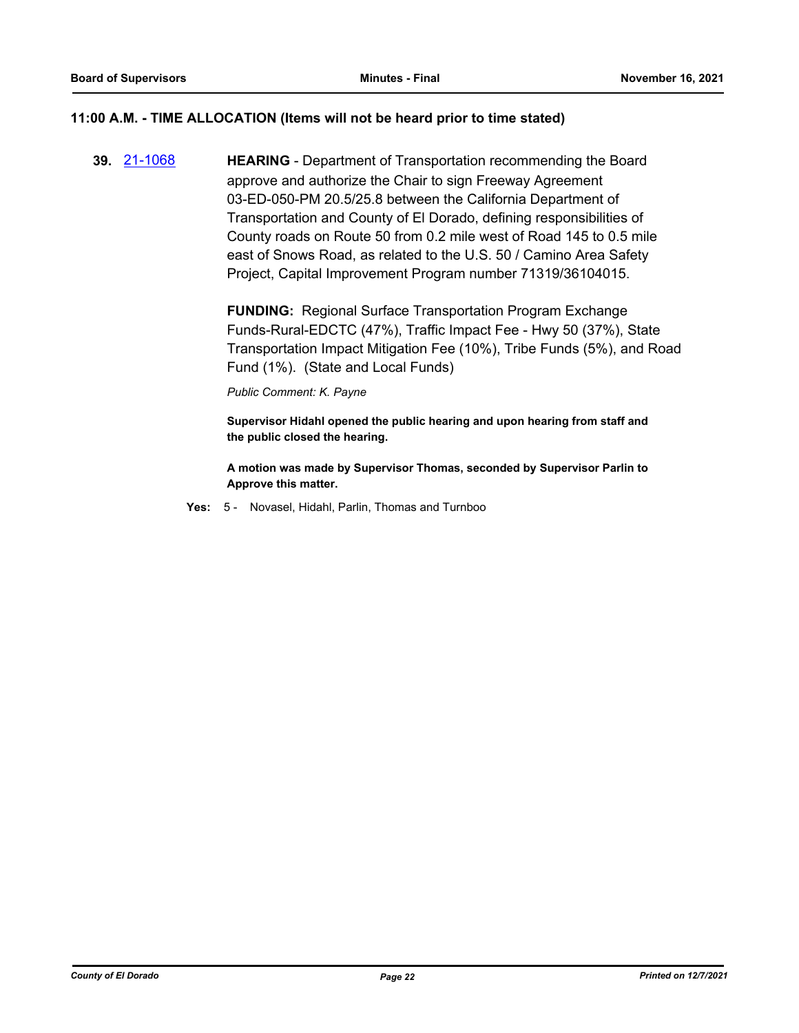# **11:00 A.M. - TIME ALLOCATION (Items will not be heard prior to time stated)**

**39.** [21-1068](http://eldorado.legistar.com/gateway.aspx?m=l&id=/matter.aspx?key=29962) **HEARING** - Department of Transportation recommending the Board approve and authorize the Chair to sign Freeway Agreement 03-ED-050-PM 20.5/25.8 between the California Department of Transportation and County of El Dorado, defining responsibilities of County roads on Route 50 from 0.2 mile west of Road 145 to 0.5 mile east of Snows Road, as related to the U.S. 50 / Camino Area Safety Project, Capital Improvement Program number 71319/36104015.

> **FUNDING:** Regional Surface Transportation Program Exchange Funds-Rural-EDCTC (47%), Traffic Impact Fee - Hwy 50 (37%), State Transportation Impact Mitigation Fee (10%), Tribe Funds (5%), and Road Fund (1%). (State and Local Funds)

#### *Public Comment: K. Payne*

**Supervisor Hidahl opened the public hearing and upon hearing from staff and the public closed the hearing.**

**A motion was made by Supervisor Thomas, seconded by Supervisor Parlin to Approve this matter.**

**Yes:** 5 - Novasel, Hidahl, Parlin, Thomas and Turnboo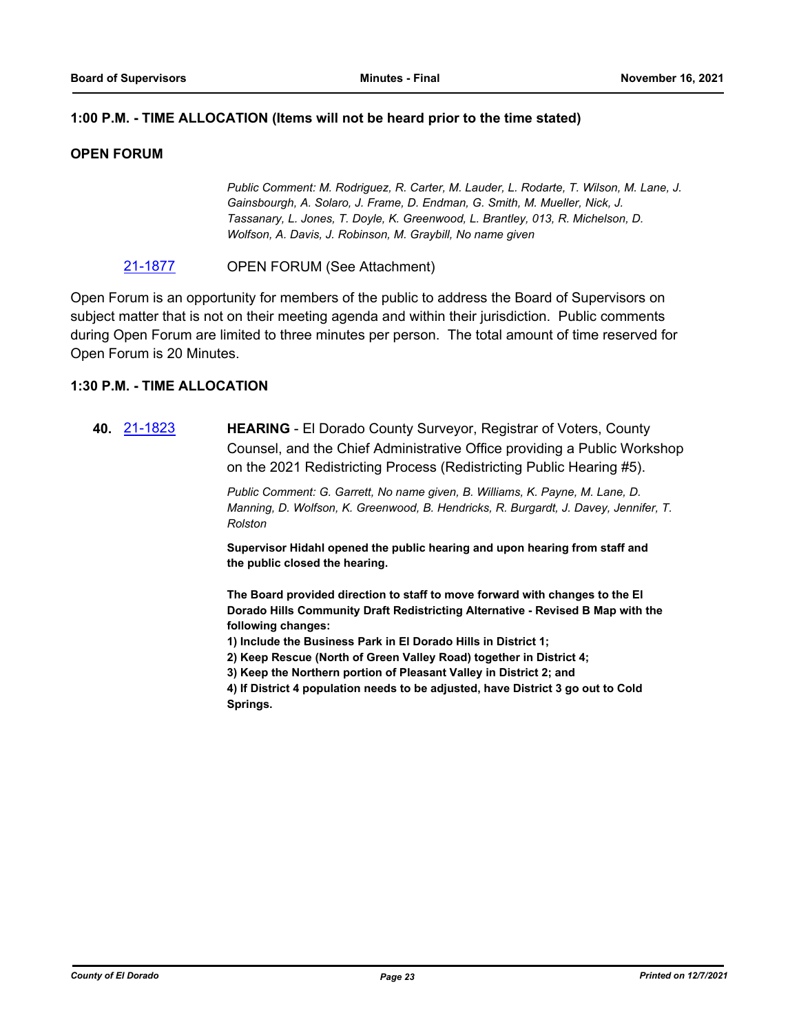# **1:00 P.M. - TIME ALLOCATION (Items will not be heard prior to the time stated)**

# **OPEN FORUM**

*Public Comment: M. Rodriguez, R. Carter, M. Lauder, L. Rodarte, T. Wilson, M. Lane, J. Gainsbourgh, A. Solaro, J. Frame, D. Endman, G. Smith, M. Mueller, Nick, J. Tassanary, L. Jones, T. Doyle, K. Greenwood, L. Brantley, 013, R. Michelson, D. Wolfson, A. Davis, J. Robinson, M. Graybill, No name given*

# [21-1877](http://eldorado.legistar.com/gateway.aspx?m=l&id=/matter.aspx?key=30773) OPEN FORUM (See Attachment)

Open Forum is an opportunity for members of the public to address the Board of Supervisors on subject matter that is not on their meeting agenda and within their jurisdiction. Public comments during Open Forum are limited to three minutes per person. The total amount of time reserved for Open Forum is 20 Minutes.

# **1:30 P.M. - TIME ALLOCATION**

**40.** [21-1823](http://eldorado.legistar.com/gateway.aspx?m=l&id=/matter.aspx?key=30719) **HEARING** - El Dorado County Surveyor, Registrar of Voters, County Counsel, and the Chief Administrative Office providing a Public Workshop on the 2021 Redistricting Process (Redistricting Public Hearing #5).

> *Public Comment: G. Garrett, No name given, B. Williams, K. Payne, M. Lane, D. Manning, D. Wolfson, K. Greenwood, B. Hendricks, R. Burgardt, J. Davey, Jennifer, T. Rolston*

**Supervisor Hidahl opened the public hearing and upon hearing from staff and the public closed the hearing.**

**The Board provided direction to staff to move forward with changes to the El Dorado Hills Community Draft Redistricting Alternative - Revised B Map with the following changes:**

- **1) Include the Business Park in El Dorado Hills in District 1;**
- **2) Keep Rescue (North of Green Valley Road) together in District 4;**
- **3) Keep the Northern portion of Pleasant Valley in District 2; and**

**4) If District 4 population needs to be adjusted, have District 3 go out to Cold Springs.**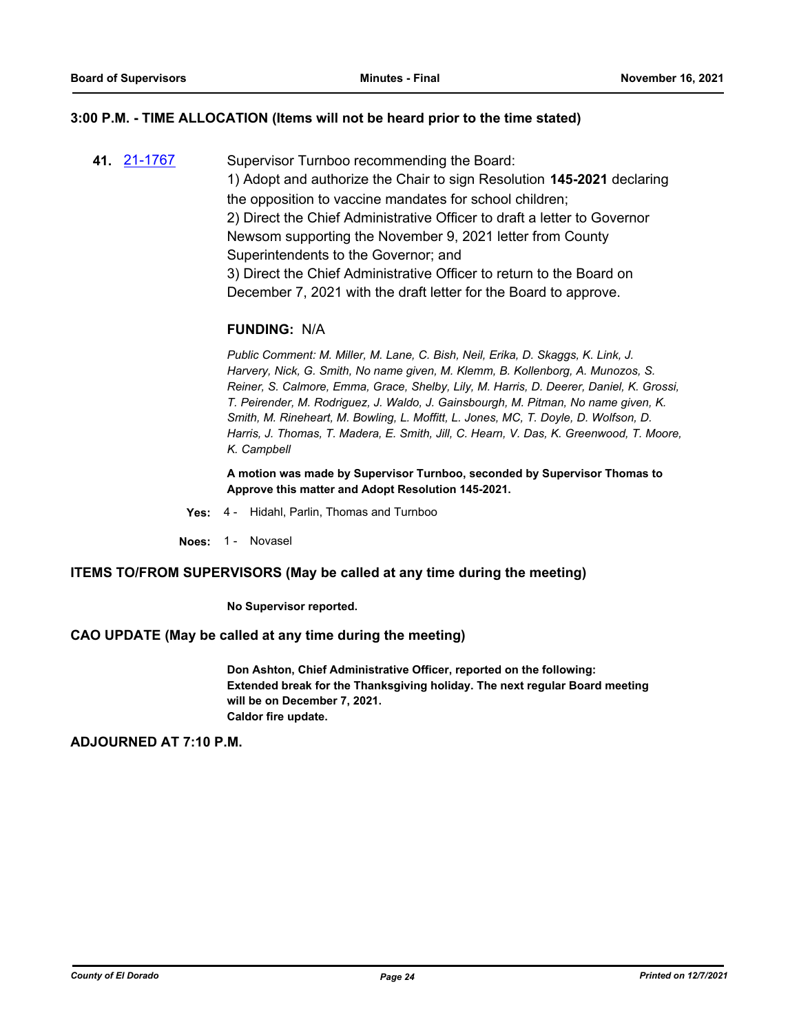# **3:00 P.M. - TIME ALLOCATION (Items will not be heard prior to the time stated)**

**41.** [21-1767](http://eldorado.legistar.com/gateway.aspx?m=l&id=/matter.aspx?key=30663) Supervisor Turnboo recommending the Board: 1) Adopt and authorize the Chair to sign Resolution **145-2021** declaring the opposition to vaccine mandates for school children; 2) Direct the Chief Administrative Officer to draft a letter to Governor Newsom supporting the November 9, 2021 letter from County Superintendents to the Governor; and 3) Direct the Chief Administrative Officer to return to the Board on December 7, 2021 with the draft letter for the Board to approve.

#### **FUNDING:** N/A

*Public Comment: M. Miller, M. Lane, C. Bish, Neil, Erika, D. Skaggs, K. Link, J. Harvery, Nick, G. Smith, No name given, M. Klemm, B. Kollenborg, A. Munozos, S. Reiner, S. Calmore, Emma, Grace, Shelby, Lily, M. Harris, D. Deerer, Daniel, K. Grossi, T. Peirender, M. Rodriguez, J. Waldo, J. Gainsbourgh, M. Pitman, No name given, K. Smith, M. Rineheart, M. Bowling, L. Moffitt, L. Jones, MC, T. Doyle, D. Wolfson, D. Harris, J. Thomas, T. Madera, E. Smith, Jill, C. Hearn, V. Das, K. Greenwood, T. Moore, K. Campbell*

**A motion was made by Supervisor Turnboo, seconded by Supervisor Thomas to Approve this matter and Adopt Resolution 145-2021.**

**Yes:** 4 - Hidahl, Parlin, Thomas and Turnboo

**Noes:** 1 - Novasel

#### **ITEMS TO/FROM SUPERVISORS (May be called at any time during the meeting)**

**No Supervisor reported.**

#### **CAO UPDATE (May be called at any time during the meeting)**

**Don Ashton, Chief Administrative Officer, reported on the following: Extended break for the Thanksgiving holiday. The next regular Board meeting will be on December 7, 2021. Caldor fire update.**

**ADJOURNED AT 7:10 P.M.**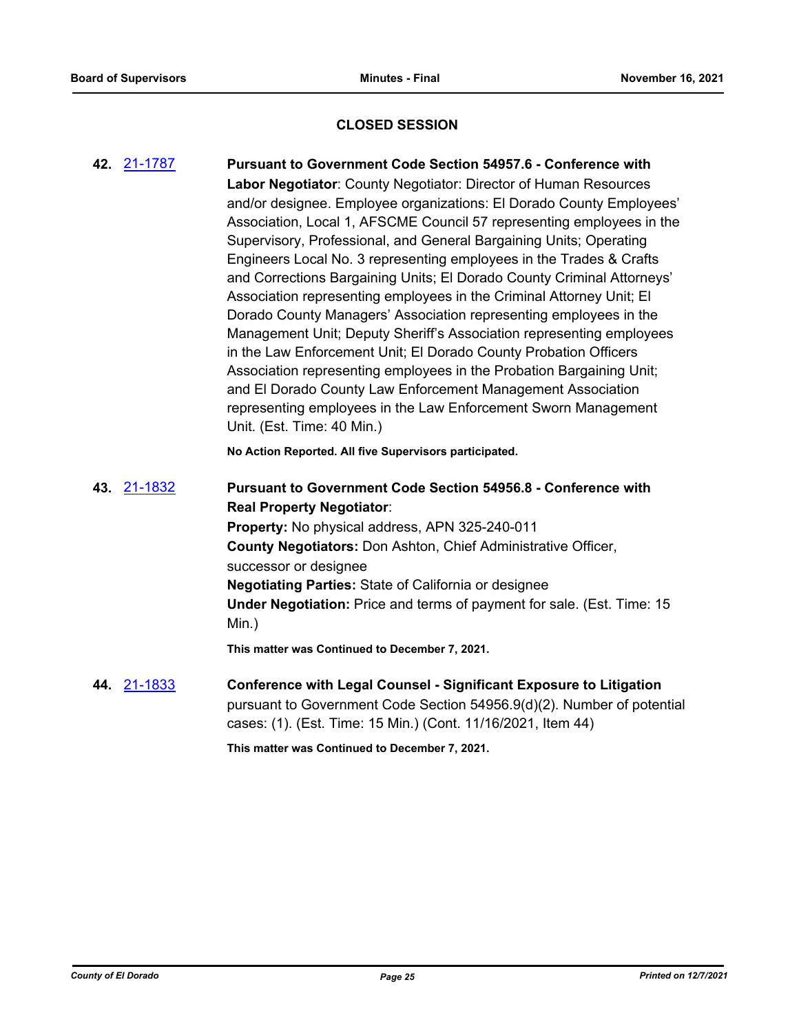# **CLOSED SESSION**

**42.** [21-1787](http://eldorado.legistar.com/gateway.aspx?m=l&id=/matter.aspx?key=30683) **Pursuant to Government Code Section 54957.6 - Conference with Labor Negotiator**: County Negotiator: Director of Human Resources and/or designee. Employee organizations: El Dorado County Employees' Association, Local 1, AFSCME Council 57 representing employees in the Supervisory, Professional, and General Bargaining Units; Operating Engineers Local No. 3 representing employees in the Trades & Crafts and Corrections Bargaining Units; El Dorado County Criminal Attorneys' Association representing employees in the Criminal Attorney Unit; El Dorado County Managers' Association representing employees in the Management Unit; Deputy Sheriff's Association representing employees in the Law Enforcement Unit; El Dorado County Probation Officers Association representing employees in the Probation Bargaining Unit; and El Dorado County Law Enforcement Management Association representing employees in the Law Enforcement Sworn Management Unit. (Est. Time: 40 Min.)

**No Action Reported. All five Supervisors participated.**

**43.** [21-1832](http://eldorado.legistar.com/gateway.aspx?m=l&id=/matter.aspx?key=30728) **Pursuant to Government Code Section 54956.8 - Conference with Real Property Negotiator**:

> **Property:** No physical address, APN 325-240-011 **County Negotiators:** Don Ashton, Chief Administrative Officer, successor or designee **Negotiating Parties:** State of California or designee **Under Negotiation:** Price and terms of payment for sale. (Est. Time: 15 Min.)

**This matter was Continued to December 7, 2021.**

**44.** [21-1833](http://eldorado.legistar.com/gateway.aspx?m=l&id=/matter.aspx?key=30729) **Conference with Legal Counsel - Significant Exposure to Litigation** pursuant to Government Code Section 54956.9(d)(2). Number of potential cases: (1). (Est. Time: 15 Min.) (Cont. 11/16/2021, Item 44)

**This matter was Continued to December 7, 2021.**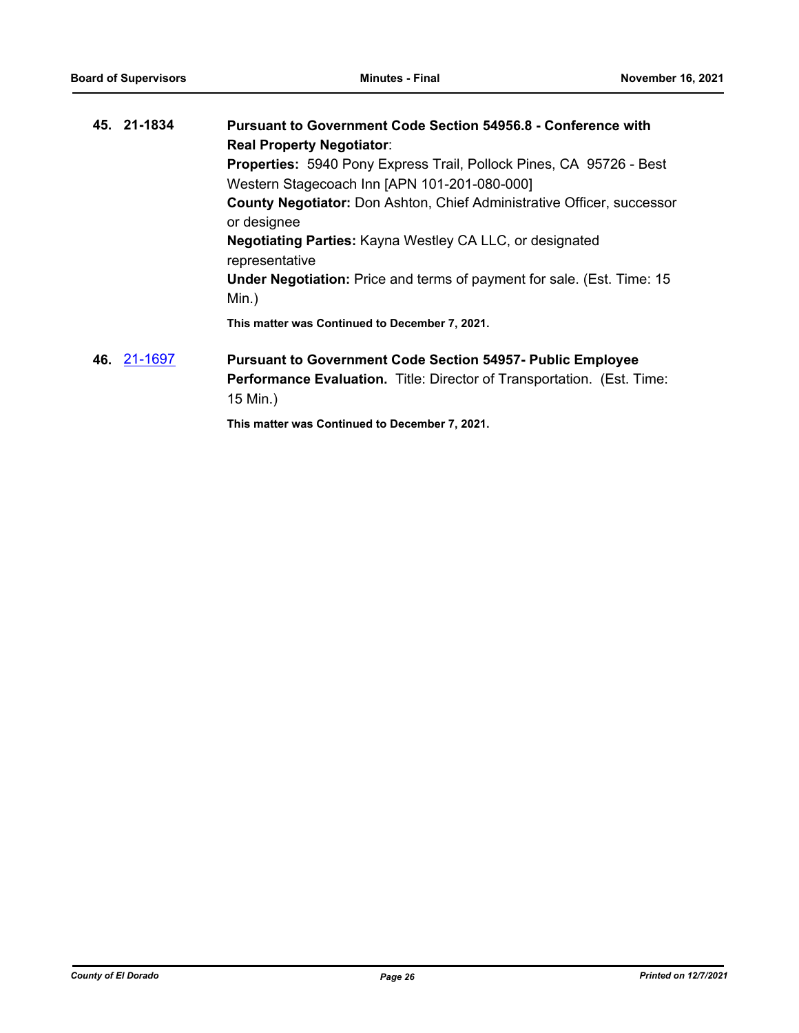|  | 45. 21-1834 | <b>Pursuant to Government Code Section 54956.8 - Conference with</b>                         |
|--|-------------|----------------------------------------------------------------------------------------------|
|  |             | <b>Real Property Negotiator:</b>                                                             |
|  |             | Properties: 5940 Pony Express Trail, Pollock Pines, CA 95726 - Best                          |
|  |             | Western Stagecoach Inn [APN 101-201-080-000]                                                 |
|  |             | <b>County Negotiator:</b> Don Ashton, Chief Administrative Officer, successor<br>or designee |
|  |             | <b>Negotiating Parties: Kayna Westley CA LLC, or designated</b>                              |
|  |             | representative                                                                               |
|  |             | Under Negotiation: Price and terms of payment for sale. (Est. Time: 15                       |
|  |             | $Min.$ )                                                                                     |
|  |             | This matter was Continued to December 7, 2021.                                               |
|  | 46 21-1697  | <b>Pursuant to Government Code Section 54957- Public Employee</b>                            |
|  |             | <b>Performance Evaluation.</b> Title: Director of Transportation. (Est. Time:                |
|  |             | 15 Min.)                                                                                     |

**This matter was Continued to December 7, 2021.**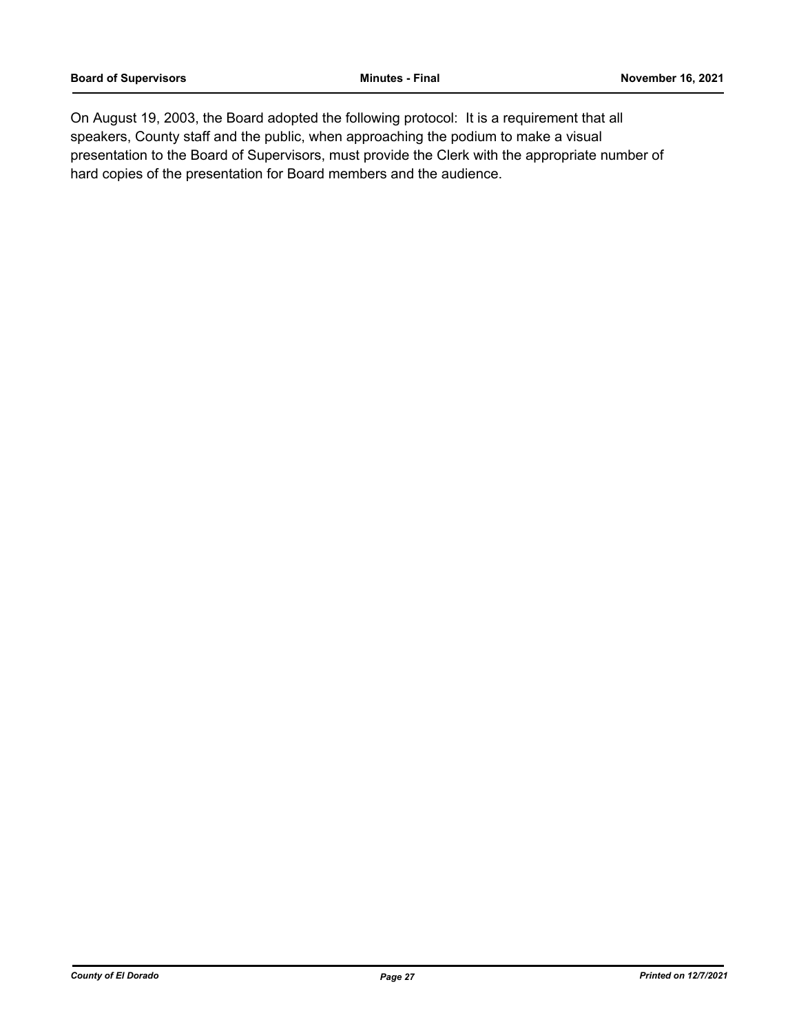On August 19, 2003, the Board adopted the following protocol: It is a requirement that all speakers, County staff and the public, when approaching the podium to make a visual presentation to the Board of Supervisors, must provide the Clerk with the appropriate number of hard copies of the presentation for Board members and the audience.